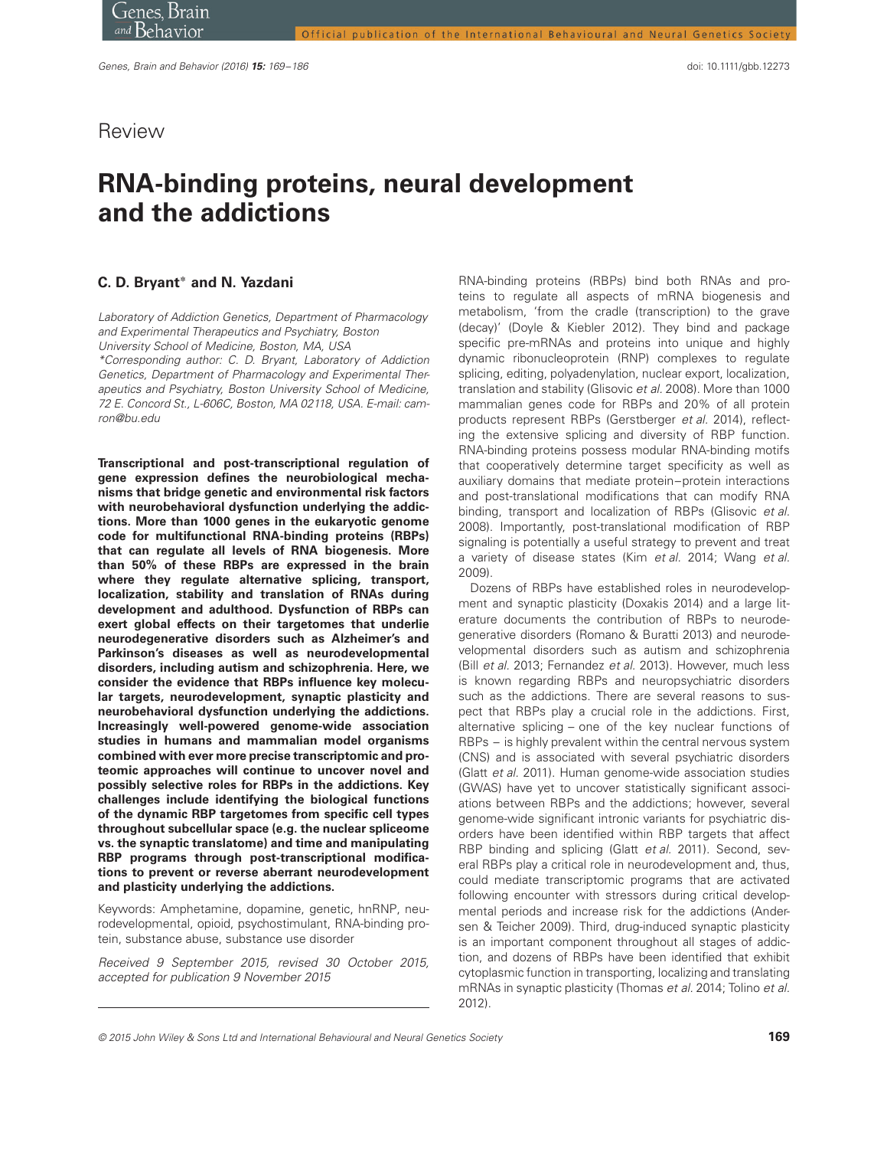# Review

# **RNA-binding proteins, neural development and the addictions**

## **C. D. Bryant<sup>∗</sup> and N. Yazdani**

Laboratory of Addiction Genetics, Department of Pharmacology and Experimental Therapeutics and Psychiatry, Boston University School of Medicine, Boston, MA, USA

\*Corresponding author: C. D. Bryant, Laboratory of Addiction Genetics, Department of Pharmacology and Experimental Therapeutics and Psychiatry, Boston University School of Medicine, 72 E. Concord St., L-606C, Boston, MA 02118, USA. E-mail: camron@bu.edu

**Transcriptional and post-transcriptional regulation of gene expression defines the neurobiological mechanisms that bridge genetic and environmental risk factors with neurobehavioral dysfunction underlying the addictions. More than 1000 genes in the eukaryotic genome code for multifunctional RNA-binding proteins (RBPs) that can regulate all levels of RNA biogenesis. More than 50% of these RBPs are expressed in the brain where they regulate alternative splicing, transport, localization, stability and translation of RNAs during development and adulthood. Dysfunction of RBPs can exert global effects on their targetomes that underlie neurodegenerative disorders such as Alzheimer's and Parkinson's diseases as well as neurodevelopmental disorders, including autism and schizophrenia. Here, we consider the evidence that RBPs influence key molecular targets, neurodevelopment, synaptic plasticity and neurobehavioral dysfunction underlying the addictions. Increasingly well-powered genome-wide association studies in humans and mammalian model organisms combined with ever more precise transcriptomic and proteomic approaches will continue to uncover novel and possibly selective roles for RBPs in the addictions. Key challenges include identifying the biological functions of the dynamic RBP targetomes from specific cell types throughout subcellular space (e.g. the nuclear spliceome vs. the synaptic translatome) and time and manipulating RBP programs through post-transcriptional modifications to prevent or reverse aberrant neurodevelopment and plasticity underlying the addictions.**

Keywords: Amphetamine, dopamine, genetic, hnRNP, neurodevelopmental, opioid, psychostimulant, RNA-binding protein, substance abuse, substance use disorder

Received 9 September 2015, revised 30 October 2015, accepted for publication 9 November 2015

RNA-binding proteins (RBPs) bind both RNAs and proteins to regulate all aspects of mRNA biogenesis and metabolism, 'from the cradle (transcription) to the grave (decay)' (Doyle & Kiebler 2012). They bind and package specific pre-mRNAs and proteins into unique and highly dynamic ribonucleoprotein (RNP) complexes to regulate splicing, editing, polyadenylation, nuclear export, localization, translation and stability (Glisovic et al. 2008). More than 1000 mammalian genes code for RBPs and 20% of all protein products represent RBPs (Gerstberger et al. 2014), reflecting the extensive splicing and diversity of RBP function. RNA-binding proteins possess modular RNA-binding motifs that cooperatively determine target specificity as well as auxiliary domains that mediate protein–protein interactions and post-translational modifications that can modify RNA binding, transport and localization of RBPs (Glisovic et al. 2008). Importantly, post-translational modification of RBP signaling is potentially a useful strategy to prevent and treat a variety of disease states (Kim et al. 2014; Wang et al. 2009).

Dozens of RBPs have established roles in neurodevelopment and synaptic plasticity (Doxakis 2014) and a large literature documents the contribution of RBPs to neurodegenerative disorders (Romano & Buratti 2013) and neurodevelopmental disorders such as autism and schizophrenia (Bill et al. 2013; Fernandez et al. 2013). However, much less is known regarding RBPs and neuropsychiatric disorders such as the addictions. There are several reasons to suspect that RBPs play a crucial role in the addictions. First, alternative splicing – one of the key nuclear functions of RBPs – is highly prevalent within the central nervous system (CNS) and is associated with several psychiatric disorders (Glatt et al. 2011). Human genome-wide association studies (GWAS) have yet to uncover statistically significant associations between RBPs and the addictions; however, several genome-wide significant intronic variants for psychiatric disorders have been identified within RBP targets that affect RBP binding and splicing (Glatt et al. 2011). Second, several RBPs play a critical role in neurodevelopment and, thus, could mediate transcriptomic programs that are activated following encounter with stressors during critical developmental periods and increase risk for the addictions (Andersen & Teicher 2009). Third, drug-induced synaptic plasticity is an important component throughout all stages of addiction, and dozens of RBPs have been identified that exhibit cytoplasmic function in transporting, localizing and translating mRNAs in synaptic plasticity (Thomas et al. 2014; Tolino et al. 2012).

<sup>© 2015</sup> John Wiley & Sons Ltd and International Behavioural and Neural Genetics Society **169**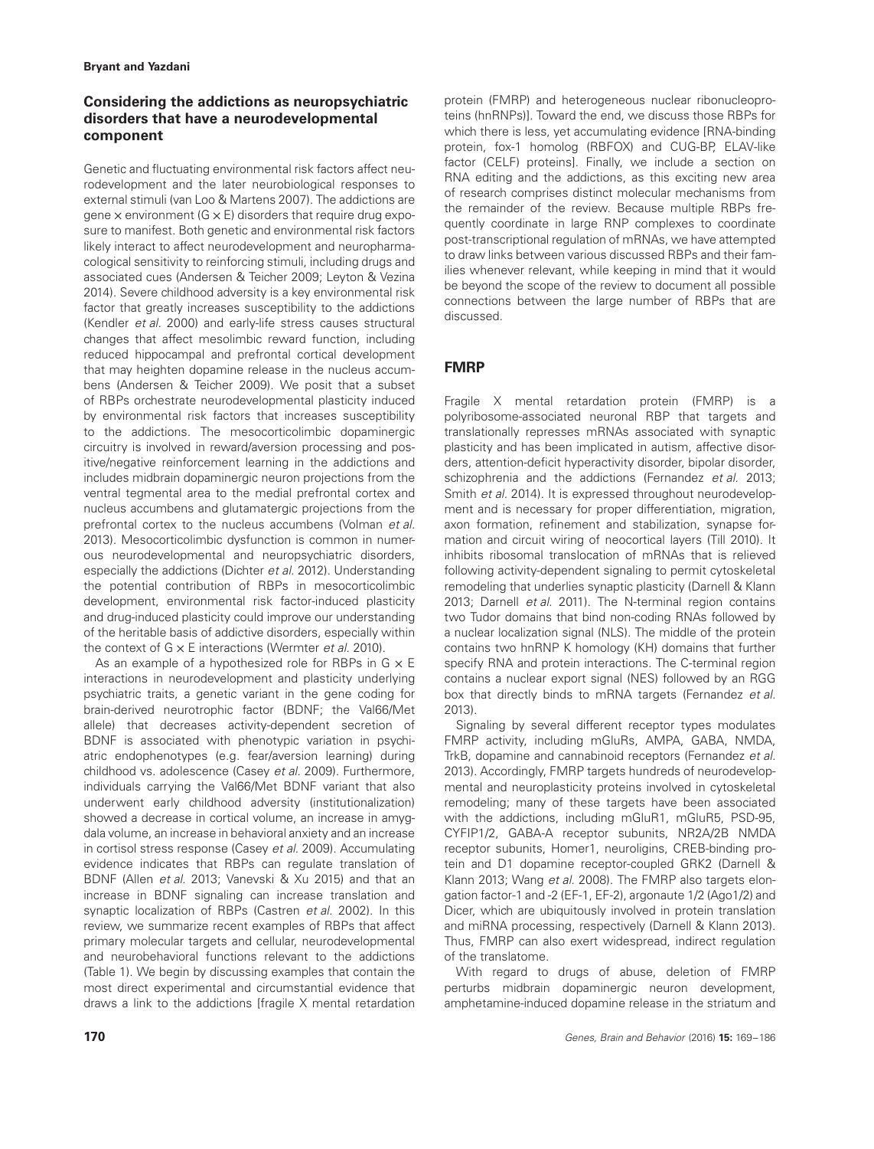# **Considering the addictions as neuropsychiatric disorders that have a neurodevelopmental component**

Genetic and fluctuating environmental risk factors affect neurodevelopment and the later neurobiological responses to external stimuli (van Loo & Martens 2007). The addictions are gene  $\times$  environment (G  $\times$  E) disorders that require drug exposure to manifest. Both genetic and environmental risk factors likely interact to affect neurodevelopment and neuropharmacological sensitivity to reinforcing stimuli, including drugs and associated cues (Andersen & Teicher 2009; Leyton & Vezina 2014). Severe childhood adversity is a key environmental risk factor that greatly increases susceptibility to the addictions (Kendler et al. 2000) and early-life stress causes structural changes that affect mesolimbic reward function, including reduced hippocampal and prefrontal cortical development that may heighten dopamine release in the nucleus accumbens (Andersen & Teicher 2009). We posit that a subset of RBPs orchestrate neurodevelopmental plasticity induced by environmental risk factors that increases susceptibility to the addictions. The mesocorticolimbic dopaminergic circuitry is involved in reward/aversion processing and positive/negative reinforcement learning in the addictions and includes midbrain dopaminergic neuron projections from the ventral tegmental area to the medial prefrontal cortex and nucleus accumbens and glutamatergic projections from the prefrontal cortex to the nucleus accumbens (Volman et al. 2013). Mesocorticolimbic dysfunction is common in numerous neurodevelopmental and neuropsychiatric disorders, especially the addictions (Dichter et al. 2012). Understanding the potential contribution of RBPs in mesocorticolimbic development, environmental risk factor-induced plasticity and drug-induced plasticity could improve our understanding of the heritable basis of addictive disorders, especially within the context of  $G \times E$  interactions (Wermter et al. 2010).

As an example of a hypothesized role for RBPs in  $G \times E$ interactions in neurodevelopment and plasticity underlying psychiatric traits, a genetic variant in the gene coding for brain-derived neurotrophic factor (BDNF; the Val66/Met allele) that decreases activity-dependent secretion of BDNF is associated with phenotypic variation in psychiatric endophenotypes (e.g. fear/aversion learning) during childhood vs. adolescence (Casey et al. 2009). Furthermore, individuals carrying the Val66/Met BDNF variant that also underwent early childhood adversity (institutionalization) showed a decrease in cortical volume, an increase in amygdala volume, an increase in behavioral anxiety and an increase in cortisol stress response (Casey et al. 2009). Accumulating evidence indicates that RBPs can regulate translation of BDNF (Allen et al. 2013; Vanevski & Xu 2015) and that an increase in BDNF signaling can increase translation and synaptic localization of RBPs (Castren et al. 2002). In this review, we summarize recent examples of RBPs that affect primary molecular targets and cellular, neurodevelopmental and neurobehavioral functions relevant to the addictions (Table 1). We begin by discussing examples that contain the most direct experimental and circumstantial evidence that draws a link to the addictions [fragile X mental retardation

protein (FMRP) and heterogeneous nuclear ribonucleoproteins (hnRNPs)]. Toward the end, we discuss those RBPs for which there is less, yet accumulating evidence [RNA-binding protein, fox-1 homolog (RBFOX) and CUG-BP, ELAV-like factor (CELF) proteins]. Finally, we include a section on RNA editing and the addictions, as this exciting new area of research comprises distinct molecular mechanisms from the remainder of the review. Because multiple RBPs frequently coordinate in large RNP complexes to coordinate post-transcriptional regulation of mRNAs, we have attempted to draw links between various discussed RBPs and their families whenever relevant, while keeping in mind that it would be beyond the scope of the review to document all possible connections between the large number of RBPs that are discussed.

# **FMRP**

Fragile X mental retardation protein (FMRP) is a polyribosome-associated neuronal RBP that targets and translationally represses mRNAs associated with synaptic plasticity and has been implicated in autism, affective disorders, attention-deficit hyperactivity disorder, bipolar disorder, schizophrenia and the addictions (Fernandez et al. 2013; Smith et al. 2014). It is expressed throughout neurodevelopment and is necessary for proper differentiation, migration, axon formation, refinement and stabilization, synapse formation and circuit wiring of neocortical layers (Till 2010). It inhibits ribosomal translocation of mRNAs that is relieved following activity-dependent signaling to permit cytoskeletal remodeling that underlies synaptic plasticity (Darnell & Klann 2013; Darnell et al. 2011). The N-terminal region contains two Tudor domains that bind non-coding RNAs followed by a nuclear localization signal (NLS). The middle of the protein contains two hnRNP K homology (KH) domains that further specify RNA and protein interactions. The C-terminal region contains a nuclear export signal (NES) followed by an RGG box that directly binds to mRNA targets (Fernandez et al. 2013).

Signaling by several different receptor types modulates FMRP activity, including mGluRs, AMPA, GABA, NMDA, TrkB, dopamine and cannabinoid receptors (Fernandez et al. 2013). Accordingly, FMRP targets hundreds of neurodevelopmental and neuroplasticity proteins involved in cytoskeletal remodeling; many of these targets have been associated with the addictions, including mGluR1, mGluR5, PSD-95, CYFIP1/2, GABA-A receptor subunits, NR2A/2B NMDA receptor subunits, Homer1, neuroligins, CREB-binding protein and D1 dopamine receptor-coupled GRK2 (Darnell & Klann 2013; Wang et al. 2008). The FMRP also targets elongation factor-1 and -2 (EF-1, EF-2), argonaute 1/2 (Ago1/2) and Dicer, which are ubiquitously involved in protein translation and miRNA processing, respectively (Darnell & Klann 2013). Thus, FMRP can also exert widespread, indirect regulation of the translatome.

With regard to drugs of abuse, deletion of FMRP perturbs midbrain dopaminergic neuron development, amphetamine-induced dopamine release in the striatum and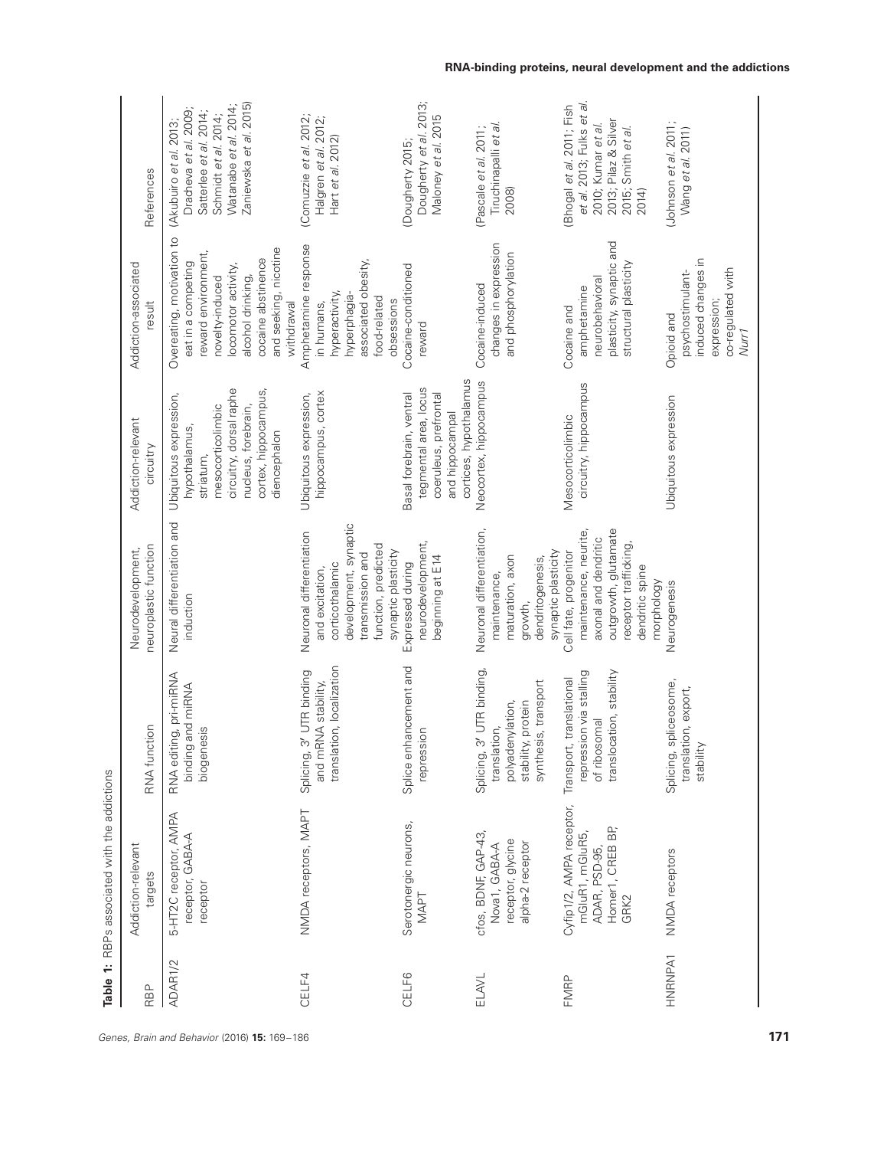| RBP     | Addiction-relevant<br>targets                                                            | RNA function                                                                                                   | neuroplastic function<br>Neurodevelopment,                                                                                                                | Addiction-relevant<br>circuitry                                                                                                                                     | Addiction-associated<br>result                                                                                                                                                                     | References                                                                                                                                           |
|---------|------------------------------------------------------------------------------------------|----------------------------------------------------------------------------------------------------------------|-----------------------------------------------------------------------------------------------------------------------------------------------------------|---------------------------------------------------------------------------------------------------------------------------------------------------------------------|----------------------------------------------------------------------------------------------------------------------------------------------------------------------------------------------------|------------------------------------------------------------------------------------------------------------------------------------------------------|
| ADAR1/2 | 5-HT2C receptor, AMPA<br>receptor, GABA-A<br>receptor                                    | RNA editing, pri-miRNA<br>binding and miRNA<br>biogenesis                                                      | Neural differentiation and<br>induction                                                                                                                   | circuitry, dorsal raphe<br>cortex, hippocampus,<br>Ubiquitous expression,<br>nucleus, forebrain,<br>mesocorticolimbic<br>hypothalamus,<br>diencephalon<br>striatum, | Overeating, motivation to<br>and seeking, nicotine<br>reward environment,<br>cocaine abstinence<br>eat in a competing<br>locomotor activity,<br>alcohol drinking,<br>novelty-induced<br>withdrawal | Zaniewska et al. 2015)<br>Watanabe et al. 2014;<br>Dracheva et al. 2009;<br>Satterlee et al. 2014;<br>Schmidt et al. 2014;<br>(Akubuiro et al. 2013; |
| CELF4   | NMDA receptors, MAPT                                                                     | translation, localization<br>3' UTR binding<br>and mRNA stability,<br>Splicing,                                | development, synaptic<br>Neuronal differentiation<br>function, predicted<br>synaptic plasticity<br>transmission and<br>corticothalamic<br>and excitation, | Ubiquitous expression,<br>hippocampus, cortex                                                                                                                       | Amphetamine response<br>associated obesity,<br>hyperactivity,<br>hyperphagia-<br>food-related<br>obsessions<br>in humans,                                                                          | (Comuzzie et al. 2012;<br>Halgren et al. 2012;<br>Hart et al. 2012)                                                                                  |
| CELF6   | Serotonergic neurons,<br>NAPT                                                            | Splice enhancement and<br>repression                                                                           | neurodevelopment,<br>beginning at E14<br>Expressed during                                                                                                 | cortices, hypothalamus<br>tegmental area, locus<br>Basal forebrain, ventral<br>coeruleus, prefrontal<br>and hippocampal                                             | Cocaine-conditioned<br>reward                                                                                                                                                                      | Dougherty et al. 2013;<br>Maloney et al. 2015<br>(Dougherty 2015;                                                                                    |
| ELAVL   | cfos, BDNF, GAP-43,<br>receptor, glycine<br>alpha-2 receptor<br>Nova1, GABA-A            | 3' UTR binding,<br>synthesis, transport<br>polyadenylation,<br>stability, protein<br>translation,<br>Splicing, | Neuronal differentiation,<br>synaptic plasticity<br>maturation, axon<br>dendritogenesis,<br>maintenance,<br>growth,                                       | Neocortex, hippocampus                                                                                                                                              | changes in expression<br>and phosphorylation<br>Cocaine-induced                                                                                                                                    | Tiruchinapalli et al<br>(Pascale et al. 2011;<br>2008)                                                                                               |
| FMRP    | Cyfip1/2, AMPA receptor,<br>Homer1, CREB BP,<br>mGluR1, mGluR5,<br>ADAR, PSD-95,<br>GRK2 | translocation, stability<br>repression via stalling<br>Transport, translational<br>of ribosomal                | outgrowth, glutamate<br>maintenance, neurite,<br>axonal and dendritic<br>receptor trafficking<br>Cell fate, progenitor<br>dendritic spine<br>morphology   | circuitry, hippocampus<br>Mesocorticolimbic                                                                                                                         | plasticity, synaptic and<br>structural plasticity<br>neurobehavioral<br>amphetamine<br>Cocaine and                                                                                                 | et al. 2013; Fulks et al.<br>Bhogal et al. 2011; Fish<br>2013; Pilaz & Silver<br>2010; Kumar et al.<br>2015; Smith et al.<br>2014)                   |
| HNRNPA1 | NMDA receptors                                                                           | Splicing, spliceosome,<br>translation, export,<br>stability                                                    | Neurogenesis                                                                                                                                              | Jbiquitous expression                                                                                                                                               | induced changes in<br>co-regulated with<br>psychostimulant-<br>expression;<br>Opioid and<br>Nurr <sub>1</sub>                                                                                      | Uohnson et al. 2011;<br>Wang et al. 2011)                                                                                                            |

**Table 1:** RBPs associated with the addictions

Table 1: RBPs associated with the addictions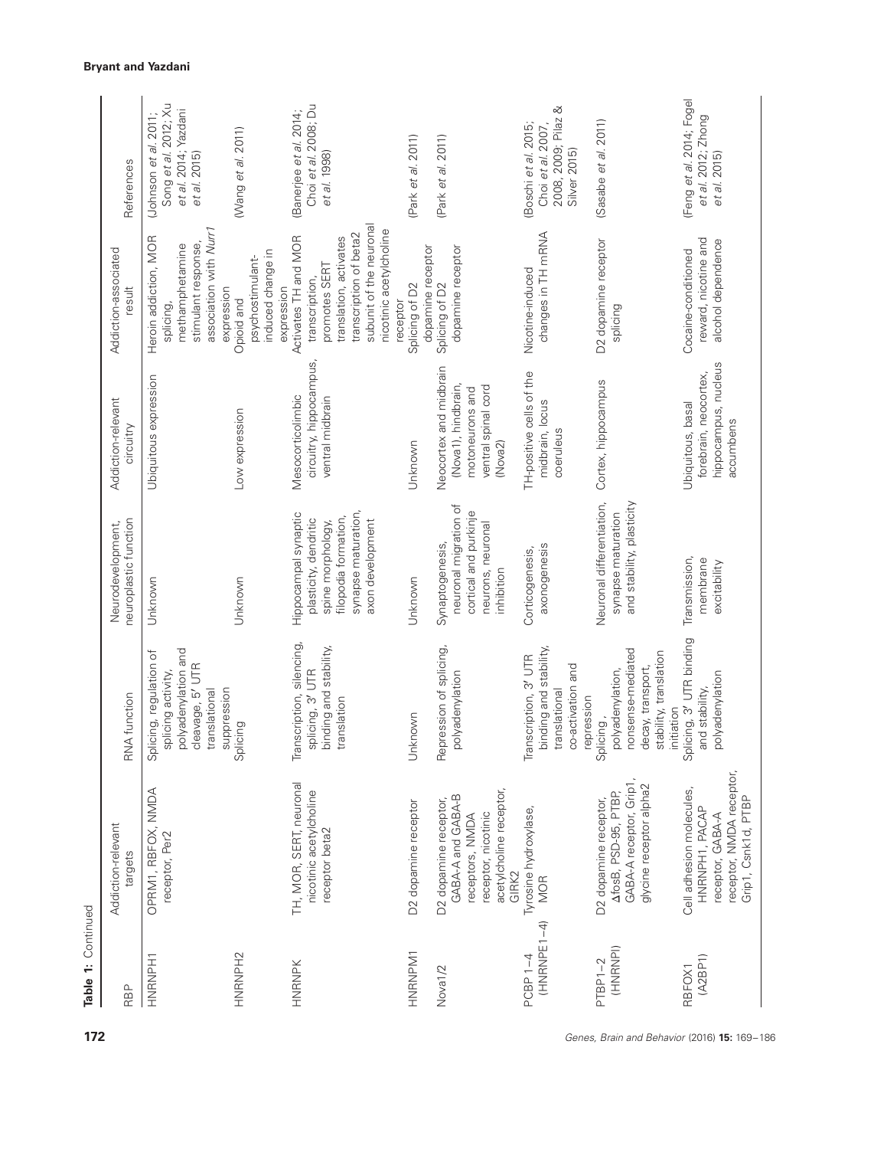| Table 1: Continued           |                                                                                                                          |                                                                                                                          |                                                                                                                                       |                                                                                                    |                                                                                                                                                                               |                                                                                      |
|------------------------------|--------------------------------------------------------------------------------------------------------------------------|--------------------------------------------------------------------------------------------------------------------------|---------------------------------------------------------------------------------------------------------------------------------------|----------------------------------------------------------------------------------------------------|-------------------------------------------------------------------------------------------------------------------------------------------------------------------------------|--------------------------------------------------------------------------------------|
| RBP                          | Addiction-relevant<br>cargets:                                                                                           | RNA function                                                                                                             | neuroplastic function<br>Neurodevelopment,                                                                                            | Addiction-relevant<br>circuitry                                                                    | Addiction-associated<br>result                                                                                                                                                | References                                                                           |
| HNRNPH1                      | OPRM1, RBFOX, NMDA<br>receptor, Per2                                                                                     | polyadenylation and<br>Splicing, regulation of<br>cleavage, 5' UTR<br>splicing activity,<br>suppression<br>translational | Unknown                                                                                                                               | Ubiquitous expression                                                                              | association with Nurr1<br>Heroin addiction, MOR<br>stimulant response,<br>methamphetamine<br>expression<br>splicing,                                                          | Song et al. 2012; Xu<br>et al. 2014; Yazdani<br>Uohnson et al. 2011;<br>et al. 2015) |
| HNRNPH <sub>2</sub>          |                                                                                                                          | Splicing                                                                                                                 | Unknown                                                                                                                               | Low expression                                                                                     | induced change in<br>psychostimulant-<br>expression<br>Opioid and                                                                                                             | (Wang et al. 2011)                                                                   |
| HNRNPK                       | TH, MOR, SERT, neuronal<br>nicotinic acetylcholine<br>receptor beta2                                                     | Transcription, silencing,<br>binding and stability,<br>splicing, 3' UTR<br>translation                                   | synapse maturation,<br>Hippocampal synaptic<br>filopodia formation,<br>plasticity, dendritic<br>axon development<br>spine morphology, | circuitry, hippocampus,<br>Mesocorticolimbic<br>ventral midbrain                                   | subunit of the neuronal<br>nicotinic acetylcholine<br>transcription of beta2<br>Activates TH and MOR<br>translation, activates<br>promotes SERT<br>transcription,<br>receptor | Choi et al. 2008; Du<br>(Banerjee et al. 2014;<br>et al. 1998)                       |
| HNRNPM1                      | D2 dopamine receptor                                                                                                     | nknown<br>$\tilde{z}$                                                                                                    | Unknown                                                                                                                               | Unknown                                                                                            | dopamine receptor<br>Splicing of D2                                                                                                                                           | (Park et al. 2011)                                                                   |
| Nova <sub>1/2</sub>          | acetylcholine receptor,<br>GABA-A and GABA-B<br>D2 dopamine receptor,<br>receptor, nicotinic<br>receptors, NMDA<br>GIRK2 | Repression of splicing,<br>polyadenylation                                                                               | neuronal migration of<br>cortical and purkinje<br>neurons, neuronal<br>Synaptogenesis,<br>inhibition                                  | Neocortex and midbrain<br>(Nova1), hindbrain,<br>ventral spinal cord<br>motoneurons and<br>(Nova2) | dopamine receptor<br>Splicing of D2                                                                                                                                           | (Park et al. 2011)                                                                   |
| $(HNRRNPE1-4)$<br>$PCBP 1-4$ | Tyrosine hydroxylase,<br><b>MOR</b>                                                                                      | binding and stability,<br>Transcription, 3' UTR<br>co-activation and<br>translational<br>repression                      | axonogenesis<br>Corticogenesis,                                                                                                       | TH-positive cells of the<br>midbrain, locus<br>coeruleus                                           | changes in TH mRNA<br>Nicotine-induced                                                                                                                                        | 2008, 2009; Pilaz &<br>Choi et al. 2007,<br>(Boschi et al. 2015;<br>Silver 2015)     |
| (HNRNPI)<br>$PTBP1-2$        | GABA-A receptor, Grip1,<br>glycine receptor alpha2<br>AfosB, PSD-95, PTBP,<br>D2 dopamine receptor,                      | nonsense-mediated<br>stability, translation<br>decay, transport,<br>polyadenylation,<br>initiation<br>Splicing,          | Neuronal differentiation,<br>and stability, plasticity<br>synapse maturation                                                          | Cortex, hippocampus                                                                                | D2 dopamine receptor<br>splicing                                                                                                                                              | (Sasabe et al. 2011)                                                                 |
| (A2BP1)<br>RBFOX1            | receptor, NMDA receptor,<br>Cell adhesion molecules,<br>Grip1, Csnk1d, PTBP<br>HNRNPH1, PACAP<br>receptor, GABA-A        | Splicing, 3' UTR binding<br>polyadenylation<br>and stability,                                                            | Transmission,<br>membrane<br>excitability                                                                                             | hippocampus, nucleus<br>forebrain, neocortex,<br>Ubiquitous, basal<br>accumbens                    | reward, nicotine and<br>alcohol dependence<br>Cocaine-conditioned                                                                                                             | (Feng et al. 2014; Fogel<br>et al. 2012; Zhong<br>et al. 2015)                       |

Table 1: Continued

**172** Genes, Brain and Behavior (2016) **15:** 169–186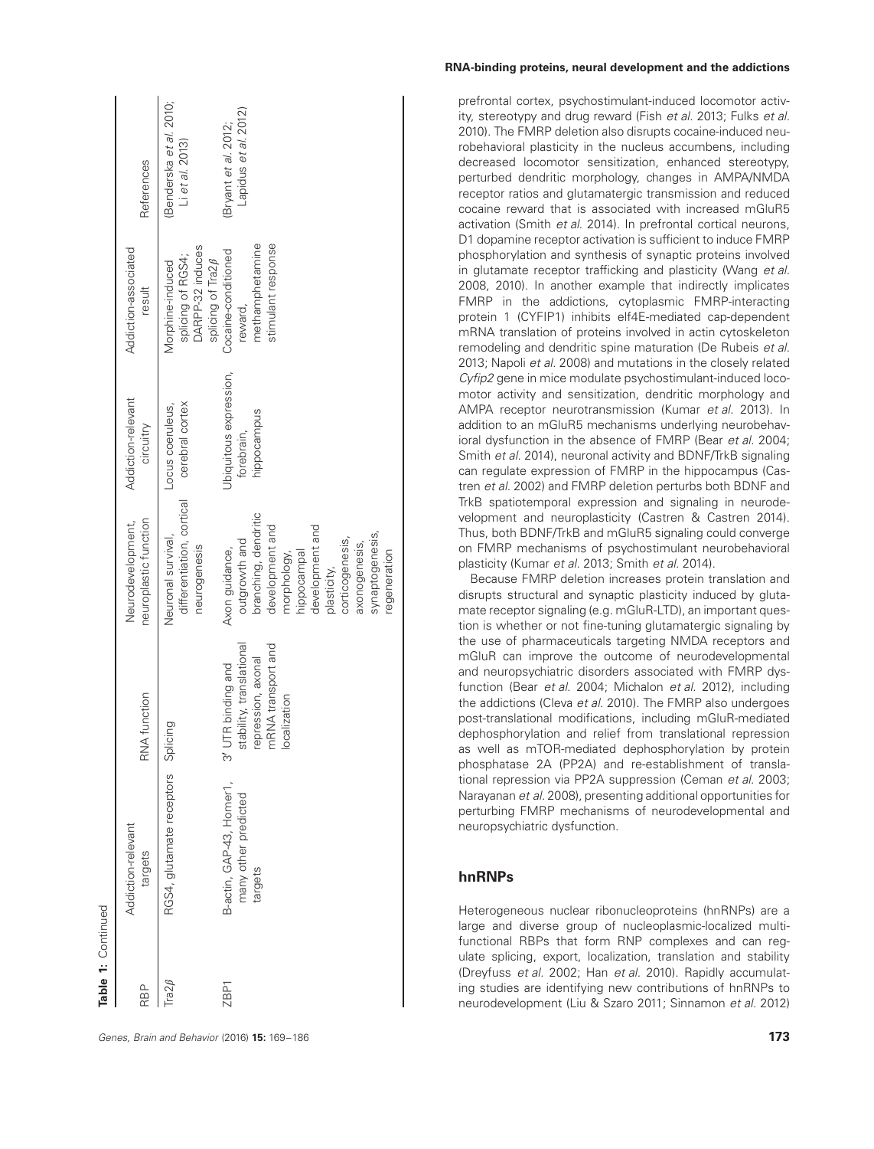| Table 1: Continued |                                                             |                                                                                                              |                                                                                                                                                                                                                   |                                                     |                                                                                       |                                                     |
|--------------------|-------------------------------------------------------------|--------------------------------------------------------------------------------------------------------------|-------------------------------------------------------------------------------------------------------------------------------------------------------------------------------------------------------------------|-----------------------------------------------------|---------------------------------------------------------------------------------------|-----------------------------------------------------|
| RBP                | Addiction-relevant<br>targets                               | RNA function                                                                                                 | neuroplastic function<br>Neurodevelopment,                                                                                                                                                                        | Addiction-relevant<br>circuitry                     | Addiction-associated<br>result                                                        | References                                          |
| Tra $2\beta$       | RGS4, glutamate receptors Splicing                          |                                                                                                              | differentiation, cortical<br>Neuronal survival,<br>neurogenesis                                                                                                                                                   | cerebral cortex<br>Locus coeruleus,                 | DARPP-32 induces<br>splicing of RGS4;<br>splicing of Tra2 $\beta$<br>Morphine-induced | (Benderska et al. 2010;<br>$Li$ et al. 2013)        |
| ZBP <sub>1</sub>   | B-actin, GAP-43, Homer1,<br>many other predicted<br>targets | stability, translational<br>mRNA transport and<br>repression, axonal<br>UTR binding and<br>localization<br>᠗ | branching, dendritic<br>development and<br>development and<br>synaptogenesis,<br>outgrowth and<br>corticogenesis,<br>axonogenesis,<br>Axon guidance,<br>hippocampal<br>regeneration<br>morphology,<br>plasticity, | Ubiquitous expression,<br>hippocampus<br>forebrain, | stimulant response<br>methamphetamine<br>Cocaine-conditioned<br>reward,               | Lapidus <i>et al.</i> 2012)<br>(Bryant et al. 2012; |

## **RNA-binding proteins, neural development and the addictions**

prefrontal cortex, psychostimulant-induced locomotor activity, stereotypy and drug reward (Fish et al. 2013; Fulks et al. 2010). The FMRP deletion also disrupts cocaine-induced neurobehavioral plasticity in the nucleus accumbens, including decreased locomotor sensitization, enhanced stereotypy, perturbed dendritic morphology, changes in AMPA/NMDA receptor ratios and glutamatergic transmission and reduced cocaine reward that is associated with increased mGluR5 activation (Smith et al. 2014). In prefrontal cortical neurons, D1 dopamine receptor activation is sufficient to induce FMRP phosphorylation and synthesis of synaptic proteins involved in glutamate receptor trafficking and plasticity (Wang et al. 2008, 2010). In another example that indirectly implicates FMRP in the addictions, cytoplasmic FMRP-interacting protein 1 (CYFIP1) inhibits elf4E-mediated cap-dependent mRNA translation of proteins involved in actin cytoskeleton remodeling and dendritic spine maturation (De Rubeis et al. 2013; Napoli et al. 2008) and mutations in the closely related Cyfip2 gene in mice modulate psychostimulant-induced locomotor activity and sensitization, dendritic morphology and AMPA receptor neurotransmission (Kumar et al. 2013). In addition to an mGluR5 mechanisms underlying neurobehavioral dysfunction in the absence of FMRP (Bear et al. 2004; Smith et al. 2014), neuronal activity and BDNF/TrkB signaling can regulate expression of FMRP in the hippocampus (Castren et al. 2002) and FMRP deletion perturbs both BDNF and TrkB spatiotemporal expression and signaling in neurodevelopment and neuroplasticity (Castren & Castren 2014). Thus, both BDNF/TrkB and mGluR5 signaling could converge on FMRP mechanisms of psychostimulant neurobehavioral plasticity (Kumar et al. 2013; Smith et al. 2014).

Because FMRP deletion increases protein translation and disrupts structural and synaptic plasticity induced by glutamate receptor signaling (e.g. mGluR-LTD), an important question is whether or not fine-tuning glutamatergic signaling by the use of pharmaceuticals targeting NMDA receptors and mGluR can improve the outcome of neurodevelopmental and neuropsychiatric disorders associated with FMRP dysfunction (Bear et al. 2004; Michalon et al. 2012), including the addictions (Cleva et al. 2010). The FMRP also undergoes post-translational modifications, including mGluR-mediated dephosphorylation and relief from translational repression as well as mTOR-mediated dephosphorylation by protein phosphatase 2A (PP2A) and re-establishment of translational repression via PP2A suppression (Ceman et al. 2003; Narayanan et al. 2008), presenting additional opportunities for perturbing FMRP mechanisms of neurodevelopmental and neuropsychiatric dysfunction.

# **hnRNPs**

Heterogeneous nuclear ribonucleoproteins (hnRNPs) are a large and diverse group of nucleoplasmic-localized multifunctional RBPs that form RNP complexes and can regulate splicing, export, localization, translation and stability (Dreyfuss et al. 2002; Han et al. 2010). Rapidly accumulating studies are identifying new contributions of hnRNPs to neurodevelopment (Liu & Szaro 2011; Sinnamon et al. 2012)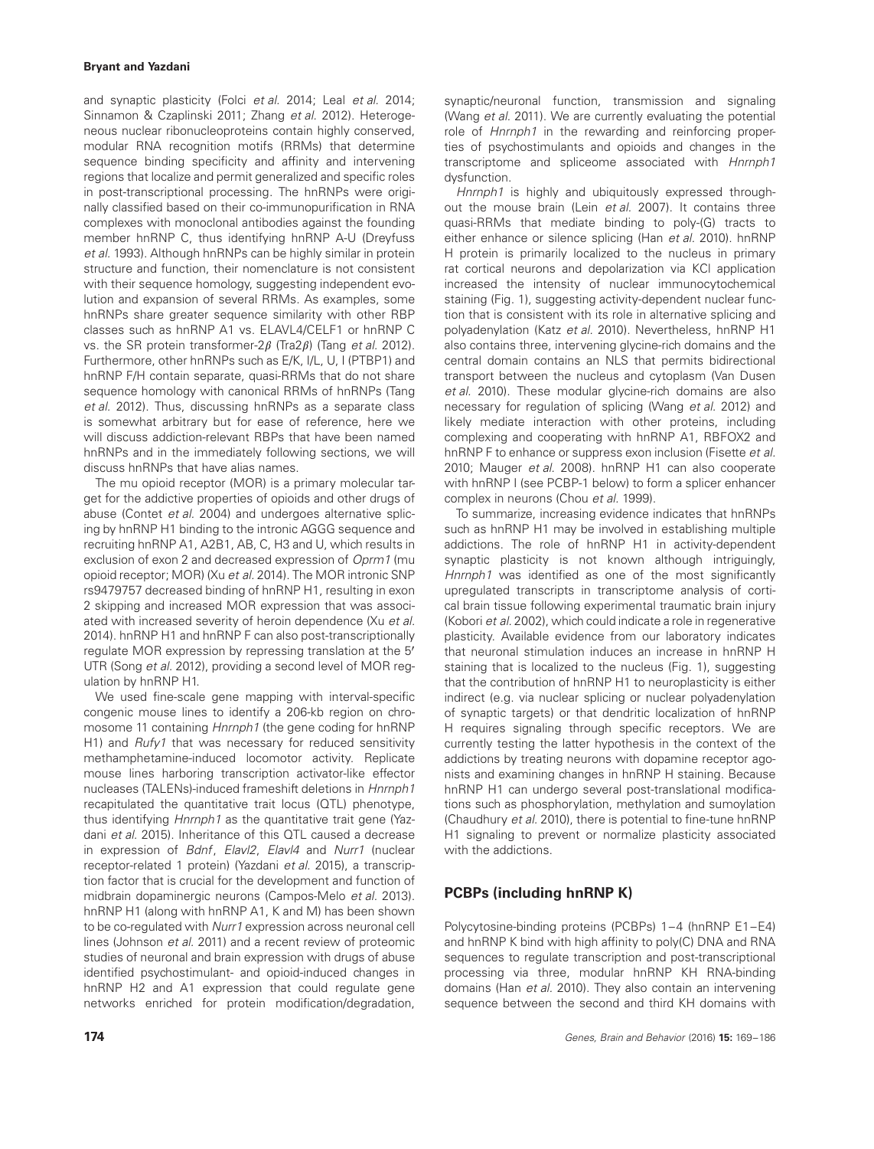and synaptic plasticity (Folci et al. 2014; Leal et al. 2014; Sinnamon & Czaplinski 2011; Zhang et al. 2012). Heterogeneous nuclear ribonucleoproteins contain highly conserved, modular RNA recognition motifs (RRMs) that determine sequence binding specificity and affinity and intervening regions that localize and permit generalized and specific roles in post-transcriptional processing. The hnRNPs were originally classified based on their co-immunopurification in RNA complexes with monoclonal antibodies against the founding member hnRNP C, thus identifying hnRNP A-U (Dreyfuss et al. 1993). Although hnRNPs can be highly similar in protein structure and function, their nomenclature is not consistent with their sequence homology, suggesting independent evolution and expansion of several RRMs. As examples, some hnRNPs share greater sequence similarity with other RBP classes such as hnRNP A1 vs. ELAVL4/CELF1 or hnRNP C vs. the SR protein transformer- $2\beta$  (Tra $2\beta$ ) (Tang et al. 2012). Furthermore, other hnRNPs such as E/K, I/L, U, I (PTBP1) and hnRNP F/H contain separate, quasi-RRMs that do not share sequence homology with canonical RRMs of hnRNPs (Tang et al. 2012). Thus, discussing hnRNPs as a separate class is somewhat arbitrary but for ease of reference, here we will discuss addiction-relevant RBPs that have been named hnRNPs and in the immediately following sections, we will discuss hnRNPs that have alias names.

The mu opioid receptor (MOR) is a primary molecular target for the addictive properties of opioids and other drugs of abuse (Contet et al. 2004) and undergoes alternative splicing by hnRNP H1 binding to the intronic AGGG sequence and recruiting hnRNP A1, A2B1, AB, C, H3 and U, which results in exclusion of exon 2 and decreased expression of Oprm1 (mu opioid receptor; MOR) (Xu et al. 2014). The MOR intronic SNP rs9479757 decreased binding of hnRNP H1, resulting in exon 2 skipping and increased MOR expression that was associated with increased severity of heroin dependence (Xu et al. 2014). hnRNP H1 and hnRNP F can also post-transcriptionally regulate MOR expression by repressing translation at the 5′ UTR (Song et al. 2012), providing a second level of MOR regulation by hnRNP H1.

We used fine-scale gene mapping with interval-specific congenic mouse lines to identify a 206-kb region on chromosome 11 containing Hnrnph1 (the gene coding for hnRNP H1) and Rufy1 that was necessary for reduced sensitivity methamphetamine-induced locomotor activity. Replicate mouse lines harboring transcription activator-like effector nucleases (TALENs)-induced frameshift deletions in Hnrnph1 recapitulated the quantitative trait locus (QTL) phenotype, thus identifying *Hnrnph1* as the quantitative trait gene (Yazdani et al. 2015). Inheritance of this QTL caused a decrease in expression of Bdnf, Elavl2, Elavl4 and Nurr1 (nuclear receptor-related 1 protein) (Yazdani et al. 2015), a transcription factor that is crucial for the development and function of midbrain dopaminergic neurons (Campos-Melo et al. 2013). hnRNP H1 (along with hnRNP A1, K and M) has been shown to be co-regulated with Nurr1 expression across neuronal cell lines (Johnson et al. 2011) and a recent review of proteomic studies of neuronal and brain expression with drugs of abuse identified psychostimulant- and opioid-induced changes in hnRNP H2 and A1 expression that could regulate gene networks enriched for protein modification/degradation,

synaptic/neuronal function, transmission and signaling (Wang et al. 2011). We are currently evaluating the potential role of Hnrnph1 in the rewarding and reinforcing properties of psychostimulants and opioids and changes in the transcriptome and spliceome associated with Hnrnph1 dysfunction.

Hnrnph1 is highly and ubiquitously expressed throughout the mouse brain (Lein et al. 2007). It contains three quasi-RRMs that mediate binding to poly-(G) tracts to either enhance or silence splicing (Han et al. 2010). hnRNP H protein is primarily localized to the nucleus in primary rat cortical neurons and depolarization via KCl application increased the intensity of nuclear immunocytochemical staining (Fig. 1), suggesting activity-dependent nuclear function that is consistent with its role in alternative splicing and polyadenylation (Katz et al. 2010). Nevertheless, hnRNP H1 also contains three, intervening glycine-rich domains and the central domain contains an NLS that permits bidirectional transport between the nucleus and cytoplasm (Van Dusen et al. 2010). These modular glycine-rich domains are also necessary for regulation of splicing (Wang et al. 2012) and likely mediate interaction with other proteins, including complexing and cooperating with hnRNP A1, RBFOX2 and hnRNP F to enhance or suppress exon inclusion (Fisette et al. 2010; Mauger et al. 2008). hnRNP H1 can also cooperate with hnRNP I (see PCBP-1 below) to form a splicer enhancer complex in neurons (Chou et al. 1999).

To summarize, increasing evidence indicates that hnRNPs such as hnRNP H1 may be involved in establishing multiple addictions. The role of hnRNP H1 in activity-dependent synaptic plasticity is not known although intriguingly, Hnrnph1 was identified as one of the most significantly upregulated transcripts in transcriptome analysis of cortical brain tissue following experimental traumatic brain injury (Kobori et al. 2002), which could indicate a role in regenerative plasticity. Available evidence from our laboratory indicates that neuronal stimulation induces an increase in hnRNP H staining that is localized to the nucleus (Fig. 1), suggesting that the contribution of hnRNP H1 to neuroplasticity is either indirect (e.g. via nuclear splicing or nuclear polyadenylation of synaptic targets) or that dendritic localization of hnRNP H requires signaling through specific receptors. We are currently testing the latter hypothesis in the context of the addictions by treating neurons with dopamine receptor agonists and examining changes in hnRNP H staining. Because hnRNP H1 can undergo several post-translational modifications such as phosphorylation, methylation and sumoylation (Chaudhury et al. 2010), there is potential to fine-tune hnRNP H1 signaling to prevent or normalize plasticity associated with the addictions.

# **PCBPs (including hnRNP K)**

Polycytosine-binding proteins (PCBPs) 1–4 (hnRNP E1–E4) and hnRNP K bind with high affinity to poly(C) DNA and RNA sequences to regulate transcription and post-transcriptional processing via three, modular hnRNP KH RNA-binding domains (Han et al. 2010). They also contain an intervening sequence between the second and third KH domains with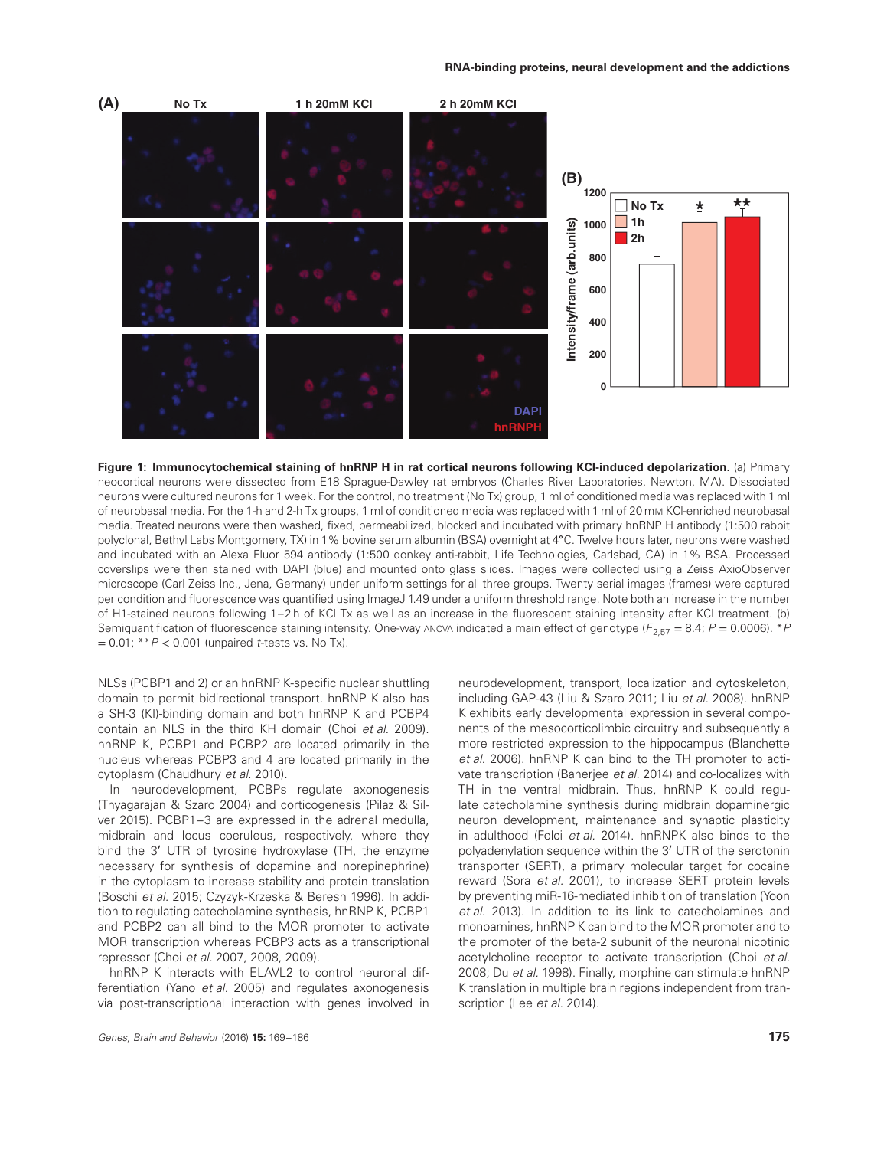

**Figure 1: Immunocytochemical staining of hnRNP H in rat cortical neurons following KCl-induced depolarization.** (a) Primary neocortical neurons were dissected from E18 Sprague-Dawley rat embryos (Charles River Laboratories, Newton, MA). Dissociated neurons were cultured neurons for 1 week. For the control, no treatment (No Tx) group, 1 ml of conditioned media was replaced with 1 ml of neurobasal media. For the 1-h and 2-h Tx groups, 1 ml of conditioned media was replaced with 1 ml of 20 mM KCl-enriched neurobasal media. Treated neurons were then washed, fixed, permeabilized, blocked and incubated with primary hnRNP H antibody (1:500 rabbit polyclonal, Bethyl Labs Montgomery, TX) in 1% bovine serum albumin (BSA) overnight at 4∘C. Twelve hours later, neurons were washed and incubated with an Alexa Fluor 594 antibody (1:500 donkey anti-rabbit, Life Technologies, Carlsbad, CA) in 1% BSA. Processed coverslips were then stained with DAPI (blue) and mounted onto glass slides. Images were collected using a Zeiss AxioObserver microscope (Carl Zeiss Inc., Jena, Germany) under uniform settings for all three groups. Twenty serial images (frames) were captured per condition and fluorescence was quantified using ImageJ 1.49 under a uniform threshold range. Note both an increase in the number of H1-stained neurons following 1–2 h of KCl Tx as well as an increase in the fluorescent staining intensity after KCl treatment. (b) Semiquantification of fluorescence staining intensity. One-way ANOVA indicated a main effect of genotype ( $F_{2,57} = 8.4$ ;  $P = 0.0006$ ). \*P = 0.01; \*\*P *<* 0.001 (unpaired t-tests vs. No Tx).

NLSs (PCBP1 and 2) or an hnRNP K-specific nuclear shuttling domain to permit bidirectional transport. hnRNP K also has a SH-3 (KI)-binding domain and both hnRNP K and PCBP4 contain an NLS in the third KH domain (Choi et al. 2009). hnRNP K, PCBP1 and PCBP2 are located primarily in the nucleus whereas PCBP3 and 4 are located primarily in the cytoplasm (Chaudhury et al. 2010).

In neurodevelopment, PCBPs regulate axonogenesis (Thyagarajan & Szaro 2004) and corticogenesis (Pilaz & Silver 2015). PCBP1–3 are expressed in the adrenal medulla, midbrain and locus coeruleus, respectively, where they bind the 3′ UTR of tyrosine hydroxylase (TH, the enzyme necessary for synthesis of dopamine and norepinephrine) in the cytoplasm to increase stability and protein translation (Boschi et al. 2015; Czyzyk-Krzeska & Beresh 1996). In addition to regulating catecholamine synthesis, hnRNP K, PCBP1 and PCBP2 can all bind to the MOR promoter to activate MOR transcription whereas PCBP3 acts as a transcriptional repressor (Choi et al. 2007, 2008, 2009).

hnRNP K interacts with ELAVL2 to control neuronal differentiation (Yano et al. 2005) and regulates axonogenesis via post-transcriptional interaction with genes involved in neurodevelopment, transport, localization and cytoskeleton, including GAP-43 (Liu & Szaro 2011; Liu et al. 2008). hnRNP K exhibits early developmental expression in several components of the mesocorticolimbic circuitry and subsequently a more restricted expression to the hippocampus (Blanchette et al. 2006). hnRNP K can bind to the TH promoter to activate transcription (Banerjee et al. 2014) and co-localizes with TH in the ventral midbrain. Thus, hnRNP K could regulate catecholamine synthesis during midbrain dopaminergic neuron development, maintenance and synaptic plasticity in adulthood (Folci et al. 2014). hnRNPK also binds to the polyadenylation sequence within the 3′ UTR of the serotonin transporter (SERT), a primary molecular target for cocaine reward (Sora et al. 2001), to increase SERT protein levels by preventing miR-16-mediated inhibition of translation (Yoon et al. 2013). In addition to its link to catecholamines and monoamines, hnRNP K can bind to the MOR promoter and to the promoter of the beta-2 subunit of the neuronal nicotinic acetylcholine receptor to activate transcription (Choi et al. 2008; Du et al. 1998). Finally, morphine can stimulate hnRNP K translation in multiple brain regions independent from transcription (Lee et al. 2014).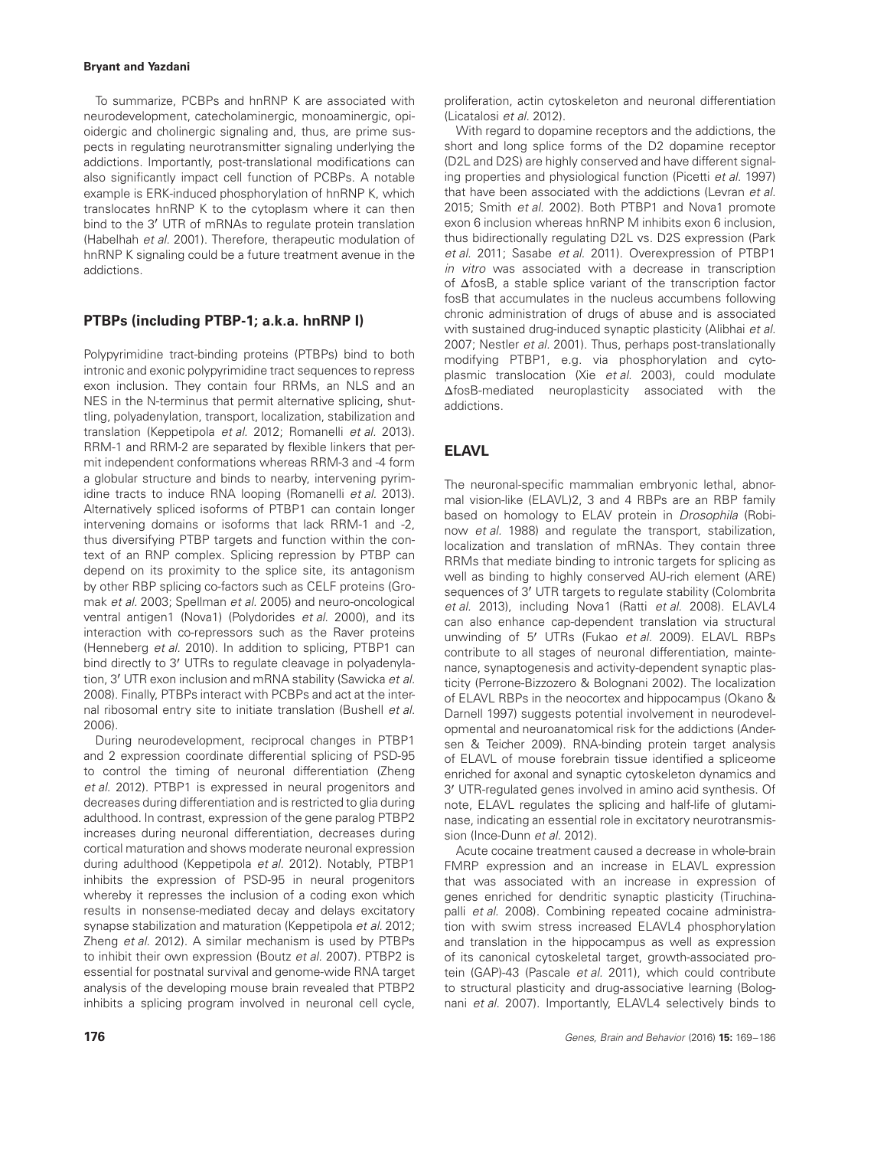To summarize, PCBPs and hnRNP K are associated with neurodevelopment, catecholaminergic, monoaminergic, opioidergic and cholinergic signaling and, thus, are prime suspects in regulating neurotransmitter signaling underlying the addictions. Importantly, post-translational modifications can also significantly impact cell function of PCBPs. A notable example is ERK-induced phosphorylation of hnRNP K, which translocates hnRNP K to the cytoplasm where it can then bind to the 3′ UTR of mRNAs to regulate protein translation (Habelhah et al. 2001). Therefore, therapeutic modulation of hnRNP K signaling could be a future treatment avenue in the addictions.

# **PTBPs (including PTBP-1; a.k.a. hnRNP I)**

Polypyrimidine tract-binding proteins (PTBPs) bind to both intronic and exonic polypyrimidine tract sequences to repress exon inclusion. They contain four RRMs, an NLS and an NES in the N-terminus that permit alternative splicing, shuttling, polyadenylation, transport, localization, stabilization and translation (Keppetipola et al. 2012; Romanelli et al. 2013). RRM-1 and RRM-2 are separated by flexible linkers that permit independent conformations whereas RRM-3 and -4 form a globular structure and binds to nearby, intervening pyrimidine tracts to induce RNA looping (Romanelli et al. 2013). Alternatively spliced isoforms of PTBP1 can contain longer intervening domains or isoforms that lack RRM-1 and -2, thus diversifying PTBP targets and function within the context of an RNP complex. Splicing repression by PTBP can depend on its proximity to the splice site, its antagonism by other RBP splicing co-factors such as CELF proteins (Gromak et al. 2003; Spellman et al. 2005) and neuro-oncological ventral antigen1 (Nova1) (Polydorides et al. 2000), and its interaction with co-repressors such as the Raver proteins (Henneberg et al. 2010). In addition to splicing, PTBP1 can bind directly to 3′ UTRs to regulate cleavage in polyadenylation, 3' UTR exon inclusion and mRNA stability (Sawicka et al. 2008). Finally, PTBPs interact with PCBPs and act at the internal ribosomal entry site to initiate translation (Bushell et al. 2006).

During neurodevelopment, reciprocal changes in PTBP1 and 2 expression coordinate differential splicing of PSD-95 to control the timing of neuronal differentiation (Zheng et al. 2012). PTBP1 is expressed in neural progenitors and decreases during differentiation and is restricted to glia during adulthood. In contrast, expression of the gene paralog PTBP2 increases during neuronal differentiation, decreases during cortical maturation and shows moderate neuronal expression during adulthood (Keppetipola et al. 2012). Notably, PTBP1 inhibits the expression of PSD-95 in neural progenitors whereby it represses the inclusion of a coding exon which results in nonsense-mediated decay and delays excitatory synapse stabilization and maturation (Keppetipola et al. 2012; Zheng et al. 2012). A similar mechanism is used by PTBPs to inhibit their own expression (Boutz et al. 2007). PTBP2 is essential for postnatal survival and genome-wide RNA target analysis of the developing mouse brain revealed that PTBP2 inhibits a splicing program involved in neuronal cell cycle,

With regard to dopamine receptors and the addictions, the short and long splice forms of the D2 dopamine receptor (D2L and D2S) are highly conserved and have different signaling properties and physiological function (Picetti et al. 1997) that have been associated with the addictions (Levran et al. 2015; Smith et al. 2002). Both PTBP1 and Nova1 promote exon 6 inclusion whereas hnRNP M inhibits exon 6 inclusion, thus bidirectionally regulating D2L vs. D2S expression (Park et al. 2011; Sasabe et al. 2011). Overexpression of PTBP1 in vitro was associated with a decrease in transcription of ΔfosB, a stable splice variant of the transcription factor fosB that accumulates in the nucleus accumbens following chronic administration of drugs of abuse and is associated with sustained drug-induced synaptic plasticity (Alibhai et al. 2007; Nestler et al. 2001). Thus, perhaps post-translationally modifying PTBP1, e.g. via phosphorylation and cytoplasmic translocation (Xie et al. 2003), could modulate ΔfosB-mediated neuroplasticity associated with the addictions.

# **ELAVL**

The neuronal-specific mammalian embryonic lethal, abnormal vision-like (ELAVL)2, 3 and 4 RBPs are an RBP family based on homology to ELAV protein in Drosophila (Robinow et al. 1988) and regulate the transport, stabilization, localization and translation of mRNAs. They contain three RRMs that mediate binding to intronic targets for splicing as well as binding to highly conserved AU-rich element (ARE) sequences of 3' UTR targets to regulate stability (Colombrita et al. 2013), including Nova1 (Ratti et al. 2008). ELAVL4 can also enhance cap-dependent translation via structural unwinding of 5' UTRs (Fukao et al. 2009). ELAVL RBPs contribute to all stages of neuronal differentiation, maintenance, synaptogenesis and activity-dependent synaptic plasticity (Perrone-Bizzozero & Bolognani 2002). The localization of ELAVL RBPs in the neocortex and hippocampus (Okano & Darnell 1997) suggests potential involvement in neurodevelopmental and neuroanatomical risk for the addictions (Andersen & Teicher 2009). RNA-binding protein target analysis of ELAVL of mouse forebrain tissue identified a spliceome enriched for axonal and synaptic cytoskeleton dynamics and 3′ UTR-regulated genes involved in amino acid synthesis. Of note, ELAVL regulates the splicing and half-life of glutaminase, indicating an essential role in excitatory neurotransmission (Ince-Dunn et al. 2012).

Acute cocaine treatment caused a decrease in whole-brain FMRP expression and an increase in ELAVL expression that was associated with an increase in expression of genes enriched for dendritic synaptic plasticity (Tiruchinapalli et al. 2008). Combining repeated cocaine administration with swim stress increased ELAVL4 phosphorylation and translation in the hippocampus as well as expression of its canonical cytoskeletal target, growth-associated protein (GAP)-43 (Pascale et al. 2011), which could contribute to structural plasticity and drug-associative learning (Bolognani et al. 2007). Importantly, ELAVL4 selectively binds to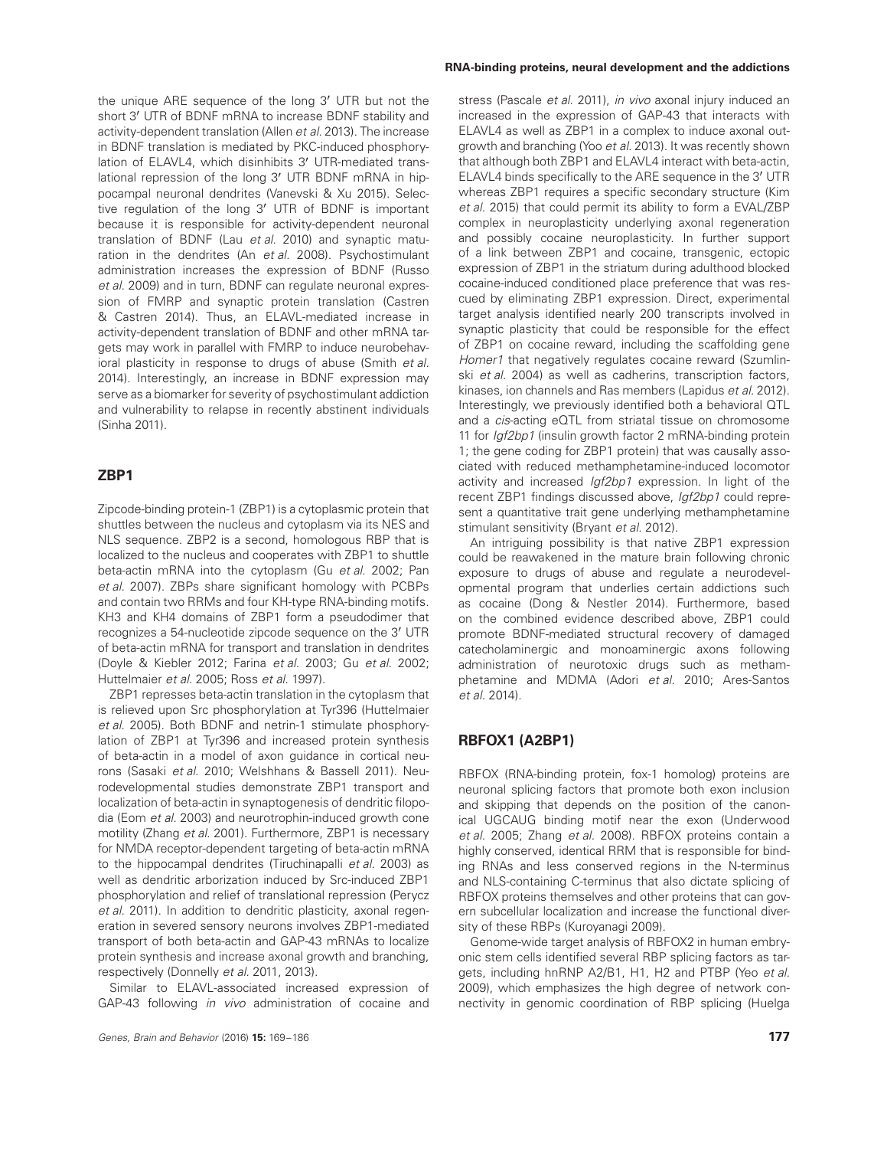the unique ARE sequence of the long 3′ UTR but not the short 3′ UTR of BDNF mRNA to increase BDNF stability and activity-dependent translation (Allen et al. 2013). The increase in BDNF translation is mediated by PKC-induced phosphorylation of ELAVL4, which disinhibits 3′ UTR-mediated translational repression of the long 3′ UTR BDNF mRNA in hippocampal neuronal dendrites (Vanevski & Xu 2015). Selective regulation of the long 3′ UTR of BDNF is important because it is responsible for activity-dependent neuronal translation of BDNF (Lau et al. 2010) and synaptic maturation in the dendrites (An et al. 2008). Psychostimulant administration increases the expression of BDNF (Russo et al. 2009) and in turn, BDNF can regulate neuronal expression of FMRP and synaptic protein translation (Castren & Castren 2014). Thus, an ELAVL-mediated increase in activity-dependent translation of BDNF and other mRNA targets may work in parallel with FMRP to induce neurobehavioral plasticity in response to drugs of abuse (Smith et al. 2014). Interestingly, an increase in BDNF expression may serve as a biomarker for severity of psychostimulant addiction and vulnerability to relapse in recently abstinent individuals (Sinha 2011).

# **ZBP1**

Zipcode-binding protein-1 (ZBP1) is a cytoplasmic protein that shuttles between the nucleus and cytoplasm via its NES and NLS sequence. ZBP2 is a second, homologous RBP that is localized to the nucleus and cooperates with ZBP1 to shuttle beta-actin mRNA into the cytoplasm (Gu et al. 2002; Pan et al. 2007). ZBPs share significant homology with PCBPs and contain two RRMs and four KH-type RNA-binding motifs. KH3 and KH4 domains of ZBP1 form a pseudodimer that recognizes a 54-nucleotide zipcode sequence on the 3′ UTR of beta-actin mRNA for transport and translation in dendrites (Doyle & Kiebler 2012; Farina et al. 2003; Gu et al. 2002; Huttelmaier et al. 2005; Ross et al. 1997).

ZBP1 represses beta-actin translation in the cytoplasm that is relieved upon Src phosphorylation at Tyr396 (Huttelmaier et al. 2005). Both BDNF and netrin-1 stimulate phosphorylation of ZBP1 at Tyr396 and increased protein synthesis of beta-actin in a model of axon guidance in cortical neurons (Sasaki et al. 2010; Welshhans & Bassell 2011). Neurodevelopmental studies demonstrate ZBP1 transport and localization of beta-actin in synaptogenesis of dendritic filopodia (Eom et al. 2003) and neurotrophin-induced growth cone motility (Zhang et al. 2001). Furthermore, ZBP1 is necessary for NMDA receptor-dependent targeting of beta-actin mRNA to the hippocampal dendrites (Tiruchinapalli et al. 2003) as well as dendritic arborization induced by Src-induced ZBP1 phosphorylation and relief of translational repression (Perycz et al. 2011). In addition to dendritic plasticity, axonal regeneration in severed sensory neurons involves ZBP1-mediated transport of both beta-actin and GAP-43 mRNAs to localize protein synthesis and increase axonal growth and branching, respectively (Donnelly et al. 2011, 2013).

Similar to ELAVL-associated increased expression of GAP-43 following in vivo administration of cocaine and

#### **RNA-binding proteins, neural development and the addictions**

stress (Pascale et al. 2011), in vivo axonal injury induced an increased in the expression of GAP-43 that interacts with ELAVL4 as well as ZBP1 in a complex to induce axonal outgrowth and branching (Yoo et al. 2013). It was recently shown that although both ZBP1 and ELAVL4 interact with beta-actin, ELAVL4 binds specifically to the ARE sequence in the 3′ UTR whereas ZBP1 requires a specific secondary structure (Kim et al. 2015) that could permit its ability to form a EVAL/ZBP complex in neuroplasticity underlying axonal regeneration and possibly cocaine neuroplasticity. In further support of a link between ZBP1 and cocaine, transgenic, ectopic expression of ZBP1 in the striatum during adulthood blocked cocaine-induced conditioned place preference that was rescued by eliminating ZBP1 expression. Direct, experimental target analysis identified nearly 200 transcripts involved in synaptic plasticity that could be responsible for the effect of ZBP1 on cocaine reward, including the scaffolding gene Homer1 that negatively regulates cocaine reward (Szumlinski et al. 2004) as well as cadherins, transcription factors, kinases, ion channels and Ras members (Lapidus et al. 2012). Interestingly, we previously identified both a behavioral QTL and a *cis-*acting eQTL from striatal tissue on chromosome 11 for *Igf2bp1* (insulin growth factor 2 mRNA-binding protein 1; the gene coding for ZBP1 protein) that was causally associated with reduced methamphetamine-induced locomotor activity and increased Igf2bp1 expression. In light of the recent ZBP1 findings discussed above, Igf2bp1 could represent a quantitative trait gene underlying methamphetamine stimulant sensitivity (Bryant et al. 2012).

An intriguing possibility is that native ZBP1 expression could be reawakened in the mature brain following chronic exposure to drugs of abuse and regulate a neurodevelopmental program that underlies certain addictions such as cocaine (Dong & Nestler 2014). Furthermore, based on the combined evidence described above, ZBP1 could promote BDNF-mediated structural recovery of damaged catecholaminergic and monoaminergic axons following administration of neurotoxic drugs such as methamphetamine and MDMA (Adori et al. 2010; Ares-Santos et al. 2014).

## **RBFOX1 (A2BP1)**

RBFOX (RNA-binding protein, fox-1 homolog) proteins are neuronal splicing factors that promote both exon inclusion and skipping that depends on the position of the canonical UGCAUG binding motif near the exon (Underwood et al. 2005; Zhang et al. 2008). RBFOX proteins contain a highly conserved, identical RRM that is responsible for binding RNAs and less conserved regions in the N-terminus and NLS-containing C-terminus that also dictate splicing of RBFOX proteins themselves and other proteins that can govern subcellular localization and increase the functional diversity of these RBPs (Kuroyanagi 2009).

Genome-wide target analysis of RBFOX2 in human embryonic stem cells identified several RBP splicing factors as targets, including hnRNP A2/B1, H1, H2 and PTBP (Yeo et al. 2009), which emphasizes the high degree of network connectivity in genomic coordination of RBP splicing (Huelga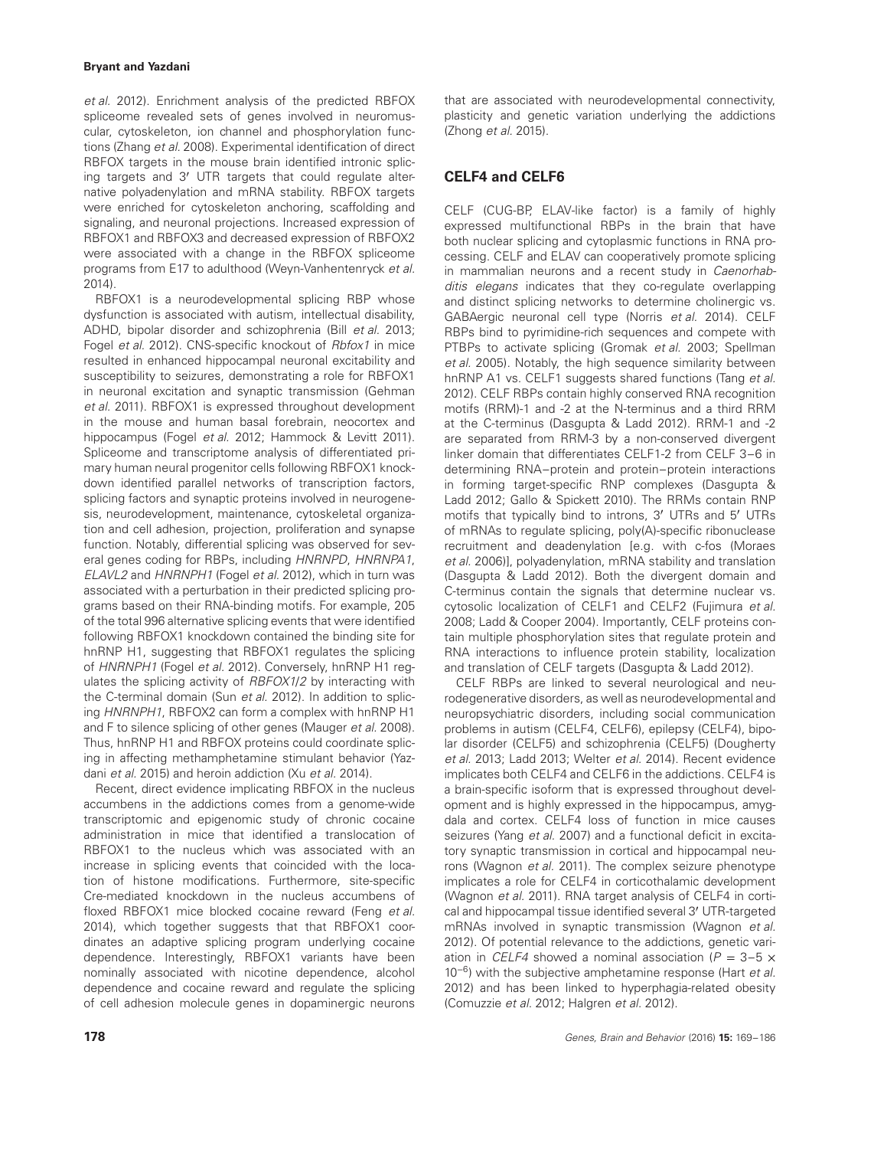et al. 2012). Enrichment analysis of the predicted RBFOX spliceome revealed sets of genes involved in neuromuscular, cytoskeleton, ion channel and phosphorylation functions (Zhang et al. 2008). Experimental identification of direct RBFOX targets in the mouse brain identified intronic splicing targets and 3′ UTR targets that could regulate alternative polyadenylation and mRNA stability. RBFOX targets were enriched for cytoskeleton anchoring, scaffolding and signaling, and neuronal projections. Increased expression of RBFOX1 and RBFOX3 and decreased expression of RBFOX2 were associated with a change in the RBFOX spliceome programs from E17 to adulthood (Weyn-Vanhentenryck et al. 2014).

RBFOX1 is a neurodevelopmental splicing RBP whose dysfunction is associated with autism, intellectual disability, ADHD, bipolar disorder and schizophrenia (Bill et al. 2013; Fogel et al. 2012). CNS-specific knockout of Rbfox1 in mice resulted in enhanced hippocampal neuronal excitability and susceptibility to seizures, demonstrating a role for RBFOX1 in neuronal excitation and synaptic transmission (Gehman et al. 2011). RBFOX1 is expressed throughout development in the mouse and human basal forebrain, neocortex and hippocampus (Fogel et al. 2012; Hammock & Levitt 2011). Spliceome and transcriptome analysis of differentiated primary human neural progenitor cells following RBFOX1 knockdown identified parallel networks of transcription factors, splicing factors and synaptic proteins involved in neurogenesis, neurodevelopment, maintenance, cytoskeletal organization and cell adhesion, projection, proliferation and synapse function. Notably, differential splicing was observed for several genes coding for RBPs, including HNRNPD, HNRNPA1, ELAVL2 and HNRNPH1 (Fogel et al. 2012), which in turn was associated with a perturbation in their predicted splicing programs based on their RNA-binding motifs. For example, 205 of the total 996 alternative splicing events that were identified following RBFOX1 knockdown contained the binding site for hnRNP H1, suggesting that RBFOX1 regulates the splicing of HNRNPH1 (Fogel et al. 2012). Conversely, hnRNP H1 regulates the splicing activity of RBFOX1/2 by interacting with the C-terminal domain (Sun et al. 2012). In addition to splicing HNRNPH1, RBFOX2 can form a complex with hnRNP H1 and F to silence splicing of other genes (Mauger et al. 2008). Thus, hnRNP H1 and RBFOX proteins could coordinate splicing in affecting methamphetamine stimulant behavior (Yazdani et al. 2015) and heroin addiction (Xu et al. 2014).

Recent, direct evidence implicating RBFOX in the nucleus accumbens in the addictions comes from a genome-wide transcriptomic and epigenomic study of chronic cocaine administration in mice that identified a translocation of RBFOX1 to the nucleus which was associated with an increase in splicing events that coincided with the location of histone modifications. Furthermore, site-specific Cre-mediated knockdown in the nucleus accumbens of floxed RBFOX1 mice blocked cocaine reward (Feng et al. 2014), which together suggests that that RBFOX1 coordinates an adaptive splicing program underlying cocaine dependence. Interestingly, RBFOX1 variants have been nominally associated with nicotine dependence, alcohol dependence and cocaine reward and regulate the splicing of cell adhesion molecule genes in dopaminergic neurons that are associated with neurodevelopmental connectivity, plasticity and genetic variation underlying the addictions (Zhong et al. 2015).

# **CELF4 and CELF6**

CELF (CUG-BP, ELAV-like factor) is a family of highly expressed multifunctional RBPs in the brain that have both nuclear splicing and cytoplasmic functions in RNA processing. CELF and ELAV can cooperatively promote splicing in mammalian neurons and a recent study in Caenorhabditis elegans indicates that they co-regulate overlapping and distinct splicing networks to determine cholinergic vs. GABAergic neuronal cell type (Norris et al. 2014). CELF RBPs bind to pyrimidine-rich sequences and compete with PTBPs to activate splicing (Gromak et al. 2003; Spellman et al. 2005). Notably, the high sequence similarity between hnRNP A1 vs. CELF1 suggests shared functions (Tang et al. 2012). CELF RBPs contain highly conserved RNA recognition motifs (RRM)-1 and -2 at the N-terminus and a third RRM at the C-terminus (Dasgupta & Ladd 2012). RRM-1 and -2 are separated from RRM-3 by a non-conserved divergent linker domain that differentiates CELF1-2 from CELF 3–6 in determining RNA–protein and protein–protein interactions in forming target-specific RNP complexes (Dasgupta & Ladd 2012; Gallo & Spickett 2010). The RRMs contain RNP motifs that typically bind to introns, 3′ UTRs and 5′ UTRs of mRNAs to regulate splicing, poly(A)-specific ribonuclease recruitment and deadenylation [e.g. with c-fos (Moraes et al. 2006)], polyadenylation, mRNA stability and translation (Dasgupta & Ladd 2012). Both the divergent domain and C-terminus contain the signals that determine nuclear vs. cytosolic localization of CELF1 and CELF2 (Fujimura et al. 2008; Ladd & Cooper 2004). Importantly, CELF proteins contain multiple phosphorylation sites that regulate protein and RNA interactions to influence protein stability, localization and translation of CELF targets (Dasgupta & Ladd 2012).

CELF RBPs are linked to several neurological and neurodegenerative disorders, as well as neurodevelopmental and neuropsychiatric disorders, including social communication problems in autism (CELF4, CELF6), epilepsy (CELF4), bipolar disorder (CELF5) and schizophrenia (CELF5) (Dougherty et al. 2013; Ladd 2013; Welter et al. 2014). Recent evidence implicates both CELF4 and CELF6 in the addictions. CELF4 is a brain-specific isoform that is expressed throughout development and is highly expressed in the hippocampus, amygdala and cortex. CELF4 loss of function in mice causes seizures (Yang et al. 2007) and a functional deficit in excitatory synaptic transmission in cortical and hippocampal neurons (Wagnon et al. 2011). The complex seizure phenotype implicates a role for CELF4 in corticothalamic development (Wagnon et al. 2011). RNA target analysis of CELF4 in cortical and hippocampal tissue identified several 3′ UTR-targeted mRNAs involved in synaptic transmission (Wagnon et al. 2012). Of potential relevance to the addictions, genetic variation in CELF4 showed a nominal association ( $P = 3-5 \times$ 10<sup>−6</sup>) with the subjective amphetamine response (Hart *et al.* 2012) and has been linked to hyperphagia-related obesity (Comuzzie et al. 2012; Halgren et al. 2012).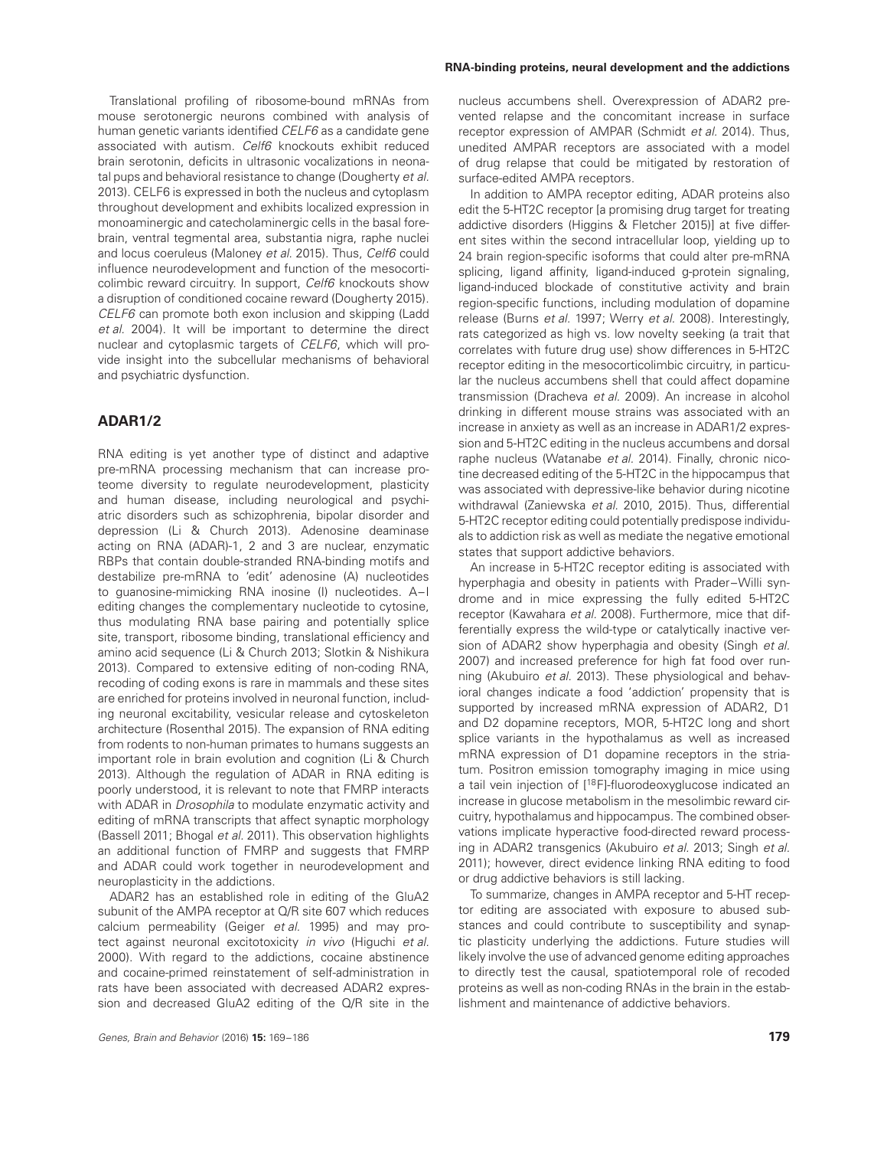Translational profiling of ribosome-bound mRNAs from mouse serotonergic neurons combined with analysis of human genetic variants identified CELF6 as a candidate gene associated with autism. Celf6 knockouts exhibit reduced brain serotonin, deficits in ultrasonic vocalizations in neonatal pups and behavioral resistance to change (Dougherty et al. 2013). CELF6 is expressed in both the nucleus and cytoplasm throughout development and exhibits localized expression in monoaminergic and catecholaminergic cells in the basal forebrain, ventral tegmental area, substantia nigra, raphe nuclei and locus coeruleus (Maloney et al. 2015). Thus, Celf6 could influence neurodevelopment and function of the mesocorticolimbic reward circuitry. In support, Celf6 knockouts show a disruption of conditioned cocaine reward (Dougherty 2015). CELF6 can promote both exon inclusion and skipping (Ladd et al. 2004). It will be important to determine the direct nuclear and cytoplasmic targets of CELF6, which will provide insight into the subcellular mechanisms of behavioral and psychiatric dysfunction.

# **ADAR1/2**

RNA editing is yet another type of distinct and adaptive pre-mRNA processing mechanism that can increase proteome diversity to regulate neurodevelopment, plasticity and human disease, including neurological and psychiatric disorders such as schizophrenia, bipolar disorder and depression (Li & Church 2013). Adenosine deaminase acting on RNA (ADAR)-1, 2 and 3 are nuclear, enzymatic RBPs that contain double-stranded RNA-binding motifs and destabilize pre-mRNA to 'edit' adenosine (A) nucleotides to guanosine-mimicking RNA inosine (I) nucleotides. A–I editing changes the complementary nucleotide to cytosine, thus modulating RNA base pairing and potentially splice site, transport, ribosome binding, translational efficiency and amino acid sequence (Li & Church 2013; Slotkin & Nishikura 2013). Compared to extensive editing of non-coding RNA, recoding of coding exons is rare in mammals and these sites are enriched for proteins involved in neuronal function, including neuronal excitability, vesicular release and cytoskeleton architecture (Rosenthal 2015). The expansion of RNA editing from rodents to non-human primates to humans suggests an important role in brain evolution and cognition (Li & Church 2013). Although the regulation of ADAR in RNA editing is poorly understood, it is relevant to note that FMRP interacts with ADAR in *Drosophila* to modulate enzymatic activity and editing of mRNA transcripts that affect synaptic morphology (Bassell 2011; Bhogal et al. 2011). This observation highlights an additional function of FMRP and suggests that FMRP and ADAR could work together in neurodevelopment and neuroplasticity in the addictions.

ADAR2 has an established role in editing of the GluA2 subunit of the AMPA receptor at Q/R site 607 which reduces calcium permeability (Geiger et al. 1995) and may protect against neuronal excitotoxicity in vivo (Higuchi et al. 2000). With regard to the addictions, cocaine abstinence and cocaine-primed reinstatement of self-administration in rats have been associated with decreased ADAR2 expression and decreased GluA2 editing of the Q/R site in the

#### **RNA-binding proteins, neural development and the addictions**

nucleus accumbens shell. Overexpression of ADAR2 prevented relapse and the concomitant increase in surface receptor expression of AMPAR (Schmidt et al. 2014). Thus, unedited AMPAR receptors are associated with a model of drug relapse that could be mitigated by restoration of surface-edited AMPA receptors.

In addition to AMPA receptor editing, ADAR proteins also edit the 5-HT2C receptor Ia promising drug target for treating addictive disorders (Higgins & Fletcher 2015)] at five different sites within the second intracellular loop, yielding up to 24 brain region-specific isoforms that could alter pre-mRNA splicing, ligand affinity, ligand-induced g-protein signaling, ligand-induced blockade of constitutive activity and brain region-specific functions, including modulation of dopamine release (Burns et al. 1997; Werry et al. 2008). Interestingly, rats categorized as high vs. low novelty seeking (a trait that correlates with future drug use) show differences in 5-HT2C receptor editing in the mesocorticolimbic circuitry, in particular the nucleus accumbens shell that could affect dopamine transmission (Dracheva et al. 2009). An increase in alcohol drinking in different mouse strains was associated with an increase in anxiety as well as an increase in ADAR1/2 expression and 5-HT2C editing in the nucleus accumbens and dorsal raphe nucleus (Watanabe et al. 2014). Finally, chronic nicotine decreased editing of the 5-HT2C in the hippocampus that was associated with depressive-like behavior during nicotine withdrawal (Zaniewska et al. 2010, 2015). Thus, differential 5-HT2C receptor editing could potentially predispose individuals to addiction risk as well as mediate the negative emotional states that support addictive behaviors.

An increase in 5-HT2C receptor editing is associated with hyperphagia and obesity in patients with Prader–Willi syndrome and in mice expressing the fully edited 5-HT2C receptor (Kawahara et al. 2008). Furthermore, mice that differentially express the wild-type or catalytically inactive version of ADAR2 show hyperphagia and obesity (Singh et al. 2007) and increased preference for high fat food over running (Akubuiro et al. 2013). These physiological and behavioral changes indicate a food 'addiction' propensity that is supported by increased mRNA expression of ADAR2, D1 and D2 dopamine receptors, MOR, 5-HT2C long and short splice variants in the hypothalamus as well as increased mRNA expression of D1 dopamine receptors in the striatum. Positron emission tomography imaging in mice using a tail vein injection of [<sup>18</sup>F]-fluorodeoxyglucose indicated an increase in glucose metabolism in the mesolimbic reward circuitry, hypothalamus and hippocampus. The combined observations implicate hyperactive food-directed reward processing in ADAR2 transgenics (Akubuiro et al. 2013; Singh et al. 2011); however, direct evidence linking RNA editing to food or drug addictive behaviors is still lacking.

To summarize, changes in AMPA receptor and 5-HT receptor editing are associated with exposure to abused substances and could contribute to susceptibility and synaptic plasticity underlying the addictions. Future studies will likely involve the use of advanced genome editing approaches to directly test the causal, spatiotemporal role of recoded proteins as well as non-coding RNAs in the brain in the establishment and maintenance of addictive behaviors.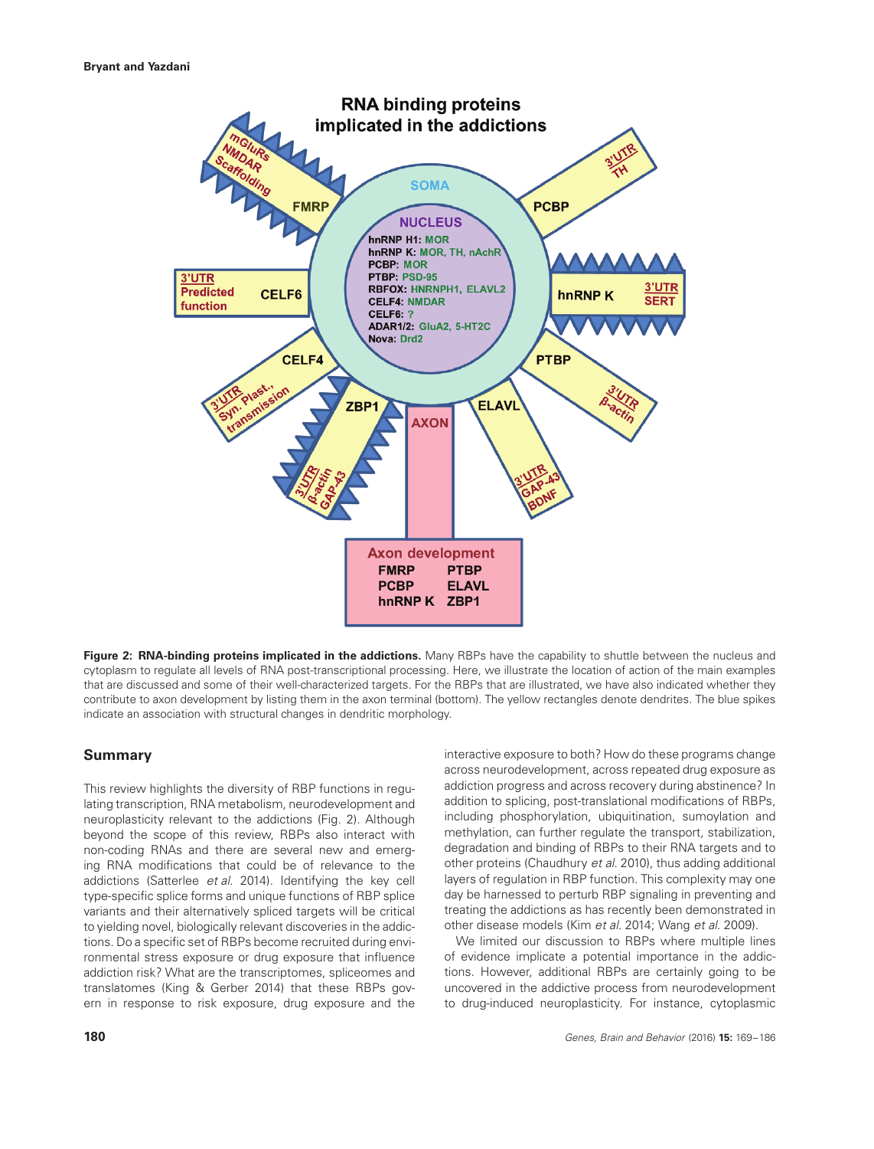

**Figure 2: RNA-binding proteins implicated in the addictions.** Many RBPs have the capability to shuttle between the nucleus and cytoplasm to regulate all levels of RNA post-transcriptional processing. Here, we illustrate the location of action of the main examples that are discussed and some of their well-characterized targets. For the RBPs that are illustrated, we have also indicated whether they contribute to axon development by listing them in the axon terminal (bottom). The yellow rectangles denote dendrites. The blue spikes indicate an association with structural changes in dendritic morphology.

## **Summary**

This review highlights the diversity of RBP functions in regulating transcription, RNA metabolism, neurodevelopment and neuroplasticity relevant to the addictions (Fig. 2). Although beyond the scope of this review, RBPs also interact with non-coding RNAs and there are several new and emerging RNA modifications that could be of relevance to the addictions (Satterlee et al. 2014). Identifying the key cell type-specific splice forms and unique functions of RBP splice variants and their alternatively spliced targets will be critical to yielding novel, biologically relevant discoveries in the addictions. Do a specific set of RBPs become recruited during environmental stress exposure or drug exposure that influence addiction risk? What are the transcriptomes, spliceomes and translatomes (King & Gerber 2014) that these RBPs govern in response to risk exposure, drug exposure and the interactive exposure to both? How do these programs change across neurodevelopment, across repeated drug exposure as addiction progress and across recovery during abstinence? In addition to splicing, post-translational modifications of RBPs, including phosphorylation, ubiquitination, sumoylation and methylation, can further regulate the transport, stabilization, degradation and binding of RBPs to their RNA targets and to other proteins (Chaudhury et al. 2010), thus adding additional layers of regulation in RBP function. This complexity may one day be harnessed to perturb RBP signaling in preventing and treating the addictions as has recently been demonstrated in other disease models (Kim et al. 2014; Wang et al. 2009).

We limited our discussion to RBPs where multiple lines of evidence implicate a potential importance in the addictions. However, additional RBPs are certainly going to be uncovered in the addictive process from neurodevelopment to drug-induced neuroplasticity. For instance, cytoplasmic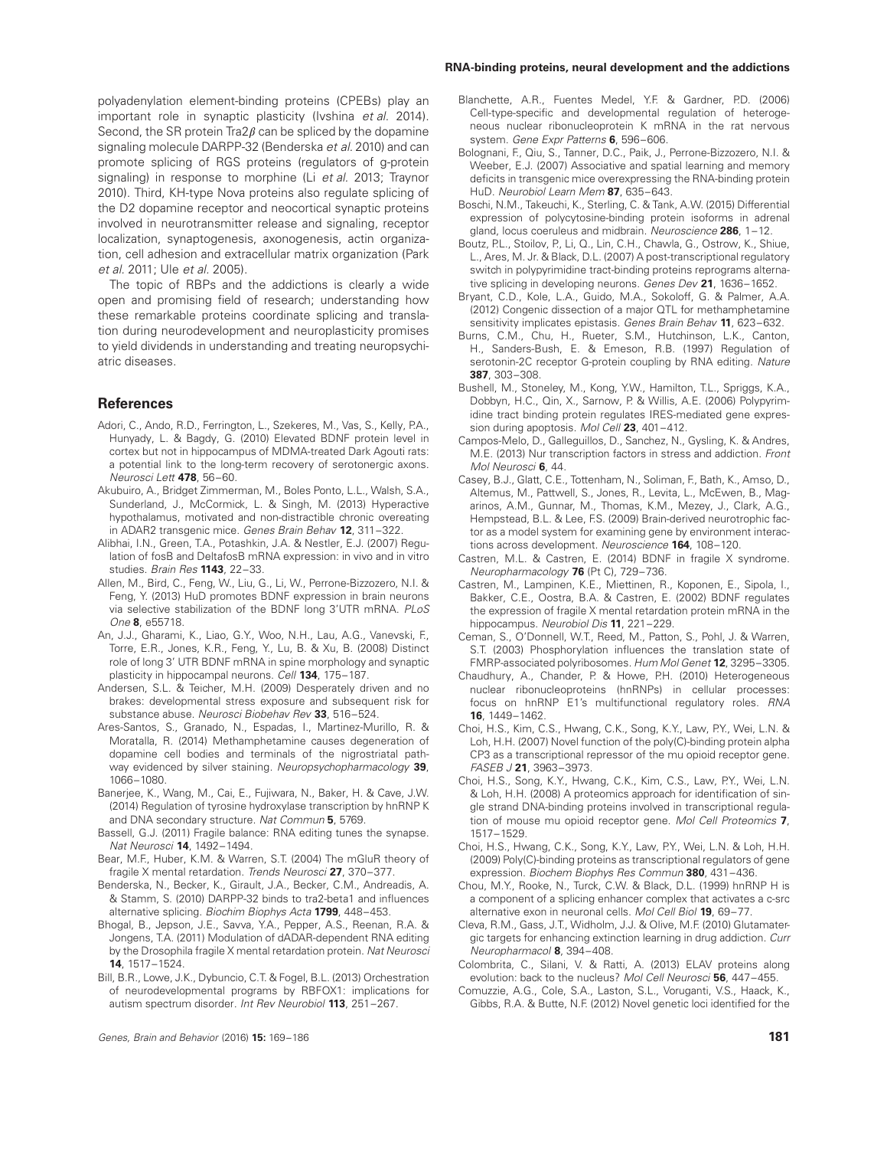polyadenylation element-binding proteins (CPEBs) play an important role in synaptic plasticity (Ivshina et al. 2014). Second, the SR protein  $\text{Tra2}\beta$  can be spliced by the dopamine signaling molecule DARPP-32 (Benderska et al. 2010) and can promote splicing of RGS proteins (regulators of g-protein signaling) in response to morphine (Li et al. 2013; Traynor 2010). Third, KH-type Nova proteins also regulate splicing of the D2 dopamine receptor and neocortical synaptic proteins involved in neurotransmitter release and signaling, receptor localization, synaptogenesis, axonogenesis, actin organization, cell adhesion and extracellular matrix organization (Park et al. 2011; Ule et al. 2005).

The topic of RBPs and the addictions is clearly a wide open and promising field of research; understanding how these remarkable proteins coordinate splicing and translation during neurodevelopment and neuroplasticity promises to yield dividends in understanding and treating neuropsychiatric diseases.

## **References**

- Adori, C., Ando, R.D., Ferrington, L., Szekeres, M., Vas, S., Kelly, P.A., Hunyady, L. & Bagdy, G. (2010) Elevated BDNF protein level in cortex but not in hippocampus of MDMA-treated Dark Agouti rats: a potential link to the long-term recovery of serotonergic axons. Neurosci Lett **478**, 56–60.
- Akubuiro, A., Bridget Zimmerman, M., Boles Ponto, L.L., Walsh, S.A., Sunderland, J., McCormick, L. & Singh, M. (2013) Hyperactive hypothalamus, motivated and non-distractible chronic overeating in ADAR2 transgenic mice. Genes Brain Behav **12**, 311–322.
- Alibhai, I.N., Green, T.A., Potashkin, J.A. & Nestler, E.J. (2007) Regulation of fosB and DeltafosB mRNA expression: in vivo and in vitro studies. Brain Res **1143**, 22–33.
- Allen, M., Bird, C., Feng, W., Liu, G., Li, W., Perrone-Bizzozero, N.I. & Feng, Y. (2013) HuD promotes BDNF expression in brain neurons via selective stabilization of the BDNF long 3'UTR mRNA. PLoS One **8**, e55718.
- An, J.J., Gharami, K., Liao, G.Y., Woo, N.H., Lau, A.G., Vanevski, F., Torre, E.R., Jones, K.R., Feng, Y., Lu, B. & Xu, B. (2008) Distinct role of long 3' UTR BDNF mRNA in spine morphology and synaptic plasticity in hippocampal neurons. Cell **134**, 175–187.
- Andersen, S.L. & Teicher, M.H. (2009) Desperately driven and no brakes: developmental stress exposure and subsequent risk for substance abuse. Neurosci Biobehav Rev **33**, 516–524.
- Ares-Santos, S., Granado, N., Espadas, I., Martinez-Murillo, R. & Moratalla, R. (2014) Methamphetamine causes degeneration of dopamine cell bodies and terminals of the nigrostriatal pathway evidenced by silver staining. Neuropsychopharmacology **39**, 1066–1080.
- Banerjee, K., Wang, M., Cai, E., Fujiwara, N., Baker, H. & Cave, J.W. (2014) Regulation of tyrosine hydroxylase transcription by hnRNP K and DNA secondary structure. Nat Commun **5**, 5769.
- Bassell, G.J. (2011) Fragile balance: RNA editing tunes the synapse. Nat Neurosci **14**, 1492–1494.
- Bear, M.F., Huber, K.M. & Warren, S.T. (2004) The mGluR theory of fragile X mental retardation. Trends Neurosci **27**, 370–377.
- Benderska, N., Becker, K., Girault, J.A., Becker, C.M., Andreadis, A. & Stamm, S. (2010) DARPP-32 binds to tra2-beta1 and influences alternative splicing. Biochim Biophys Acta **1799**, 448–453.
- Bhogal, B., Jepson, J.E., Savva, Y.A., Pepper, A.S., Reenan, R.A. & Jongens, T.A. (2011) Modulation of dADAR-dependent RNA editing by the Drosophila fragile X mental retardation protein. Nat Neurosci **14**, 1517–1524.
- Bill, B.R., Lowe, J.K., Dybuncio, C.T. & Fogel, B.L. (2013) Orchestration of neurodevelopmental programs by RBFOX1: implications for autism spectrum disorder. Int Rev Neurobiol **113**, 251–267.

#### **RNA-binding proteins, neural development and the addictions**

- Blanchette, A.R., Fuentes Medel, Y.F. & Gardner, P.D. (2006) Cell-type-specific and developmental regulation of heterogeneous nuclear ribonucleoprotein K mRNA in the rat nervous system. Gene Expr Patterns **6**, 596–606.
- Bolognani, F., Qiu, S., Tanner, D.C., Paik, J., Perrone-Bizzozero, N.I. & Weeber, E.J. (2007) Associative and spatial learning and memory deficits in transgenic mice overexpressing the RNA-binding protein HuD. Neurobiol Learn Mem **87**, 635–643.
- Boschi, N.M., Takeuchi, K., Sterling, C. & Tank, A.W. (2015) Differential expression of polycytosine-binding protein isoforms in adrenal gland, locus coeruleus and midbrain. Neuroscience **286**, 1–12.
- Boutz, P.L., Stoilov, P., Li, Q., Lin, C.H., Chawla, G., Ostrow, K., Shiue, L., Ares, M. Jr. & Black, D.L. (2007) A post-transcriptional regulatory switch in polypyrimidine tract-binding proteins reprograms alternative splicing in developing neurons. Genes Dev **21**, 1636–1652.
- Bryant, C.D., Kole, L.A., Guido, M.A., Sokoloff, G. & Palmer, A.A. (2012) Congenic dissection of a major QTL for methamphetamine sensitivity implicates epistasis. Genes Brain Behav **11**, 623–632.
- Burns, C.M., Chu, H., Rueter, S.M., Hutchinson, L.K., Canton, H., Sanders-Bush, E. & Emeson, R.B. (1997) Regulation of serotonin-2C receptor G-protein coupling by RNA editing. Nature **387**, 303–308.
- Bushell, M., Stoneley, M., Kong, Y.W., Hamilton, T.L., Spriggs, K.A., Dobbyn, H.C., Qin, X., Sarnow, P. & Willis, A.E. (2006) Polypyrimidine tract binding protein regulates IRES-mediated gene expression during apoptosis. Mol Cell **23**, 401–412.
- Campos-Melo, D., Galleguillos, D., Sanchez, N., Gysling, K. & Andres, M.E. (2013) Nur transcription factors in stress and addiction. Front Mol Neurosci **6**, 44.
- Casey, B.J., Glatt, C.E., Tottenham, N., Soliman, F., Bath, K., Amso, D., Altemus, M., Pattwell, S., Jones, R., Levita, L., McEwen, B., Magarinos, A.M., Gunnar, M., Thomas, K.M., Mezey, J., Clark, A.G., Hempstead, B.L. & Lee, F.S. (2009) Brain-derived neurotrophic factor as a model system for examining gene by environment interactions across development. Neuroscience **164**, 108–120.
- Castren, M.L. & Castren, E. (2014) BDNF in fragile X syndrome. Neuropharmacology **76** (Pt C), 729–736.
- Castren, M., Lampinen, K.E., Miettinen, R., Koponen, E., Sipola, I., Bakker, C.E., Oostra, B.A. & Castren, E. (2002) BDNF regulates the expression of fragile X mental retardation protein mRNA in the hippocampus. Neurobiol Dis **11**, 221–229.
- Ceman, S., O'Donnell, W.T., Reed, M., Patton, S., Pohl, J. & Warren, S.T. (2003) Phosphorylation influences the translation state of FMRP-associated polyribosomes. Hum Mol Genet **12**, 3295–3305.
- Chaudhury, A., Chander, P. & Howe, P.H. (2010) Heterogeneous nuclear ribonucleoproteins (hnRNPs) in cellular processes: focus on hnRNP E1's multifunctional regulatory roles. RNA **16**, 1449–1462.
- Choi, H.S., Kim, C.S., Hwang, C.K., Song, K.Y., Law, P.Y., Wei, L.N. & Loh, H.H. (2007) Novel function of the poly(C)-binding protein alpha CP3 as a transcriptional repressor of the mu opioid receptor gene. FASEB J **21**, 3963–3973.
- Choi, H.S., Song, K.Y., Hwang, C.K., Kim, C.S., Law, P.Y., Wei, L.N. & Loh, H.H. (2008) A proteomics approach for identification of single strand DNA-binding proteins involved in transcriptional regulation of mouse mu opioid receptor gene. Mol Cell Proteomics **7**, 1517–1529.
- Choi, H.S., Hwang, C.K., Song, K.Y., Law, P.Y., Wei, L.N. & Loh, H.H. (2009) Poly(C)-binding proteins as transcriptional regulators of gene expression. Biochem Biophys Res Commun **380**, 431–436.
- Chou, M.Y., Rooke, N., Turck, C.W. & Black, D.L. (1999) hnRNP H is a component of a splicing enhancer complex that activates a c-src alternative exon in neuronal cells. Mol Cell Biol **19**, 69–77.
- Cleva, R.M., Gass, J.T., Widholm, J.J. & Olive, M.F. (2010) Glutamatergic targets for enhancing extinction learning in drug addiction. Curr Neuropharmacol **8**, 394–408.
- Colombrita, C., Silani, V. & Ratti, A. (2013) ELAV proteins along evolution: back to the nucleus? Mol Cell Neurosci **56**, 447–455.
- Comuzzie, A.G., Cole, S.A., Laston, S.L., Voruganti, V.S., Haack, K., Gibbs, R.A. & Butte, N.F. (2012) Novel genetic loci identified for the

Genes, Brain and Behavior (2016) **15:** 169–186 **181**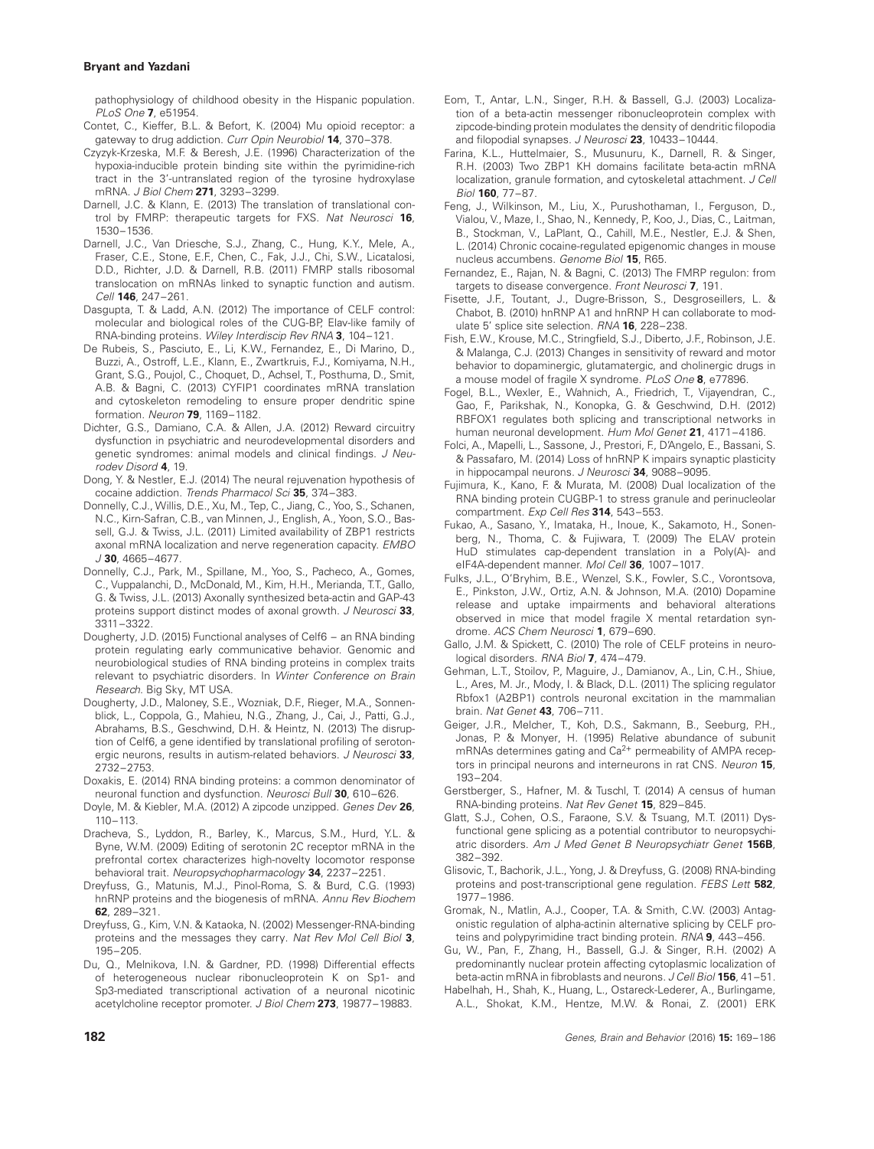pathophysiology of childhood obesity in the Hispanic population. PLoS One **7**, e51954.

- Contet, C., Kieffer, B.L. & Befort, K. (2004) Mu opioid receptor: a gateway to drug addiction. Curr Opin Neurobiol **14**, 370–378.
- Czyzyk-Krzeska, M.F. & Beresh, J.E. (1996) Characterization of the hypoxia-inducible protein binding site within the pyrimidine-rich tract in the 3'-untranslated region of the tyrosine hydroxylase mRNA. J Biol Chem **271**, 3293–3299.
- Darnell, J.C. & Klann, E. (2013) The translation of translational control by FMRP: therapeutic targets for FXS. Nat Neurosci **16**, 1530–1536.
- Darnell, J.C., Van Driesche, S.J., Zhang, C., Hung, K.Y., Mele, A., Fraser, C.E., Stone, E.F., Chen, C., Fak, J.J., Chi, S.W., Licatalosi, D.D., Richter, J.D. & Darnell, R.B. (2011) FMRP stalls ribosomal translocation on mRNAs linked to synaptic function and autism. Cell **146**, 247–261.
- Dasgupta, T. & Ladd, A.N. (2012) The importance of CELF control: molecular and biological roles of the CUG-BP, Elav-like family of RNA-binding proteins. Wiley Interdiscip Rev RNA **3**, 104–121.
- De Rubeis, S., Pasciuto, E., Li, K.W., Fernandez, E., Di Marino, D., Buzzi, A., Ostroff, L.E., Klann, E., Zwartkruis, F.J., Komiyama, N.H., Grant, S.G., Poujol, C., Choquet, D., Achsel, T., Posthuma, D., Smit, A.B. & Bagni, C. (2013) CYFIP1 coordinates mRNA translation and cytoskeleton remodeling to ensure proper dendritic spine formation. Neuron **79**, 1169–1182.
- Dichter, G.S., Damiano, C.A. & Allen, J.A. (2012) Reward circuitry dysfunction in psychiatric and neurodevelopmental disorders and genetic syndromes: animal models and clinical findings. J Neurodev Disord **4**, 19.
- Dong, Y. & Nestler, E.J. (2014) The neural rejuvenation hypothesis of cocaine addiction. Trends Pharmacol Sci **35**, 374–383.
- Donnelly, C.J., Willis, D.E., Xu, M., Tep, C., Jiang, C., Yoo, S., Schanen, N.C., Kirn-Safran, C.B., van Minnen, J., English, A., Yoon, S.O., Bassell, G.J. & Twiss, J.L. (2011) Limited availability of ZBP1 restricts axonal mRNA localization and nerve regeneration capacity. EMBO J **30**, 4665–4677.
- Donnelly, C.J., Park, M., Spillane, M., Yoo, S., Pacheco, A., Gomes, C., Vuppalanchi, D., McDonald, M., Kim, H.H., Merianda, T.T., Gallo, G. & Twiss, J.L. (2013) Axonally synthesized beta-actin and GAP-43 proteins support distinct modes of axonal growth. J Neurosci **33**, 3311–3322.
- Dougherty, J.D. (2015) Functional analyses of Celf6 an RNA binding protein regulating early communicative behavior. Genomic and neurobiological studies of RNA binding proteins in complex traits relevant to psychiatric disorders. In Winter Conference on Brain Research. Big Sky, MT USA.
- Dougherty, J.D., Maloney, S.E., Wozniak, D.F., Rieger, M.A., Sonnenblick, L., Coppola, G., Mahieu, N.G., Zhang, J., Cai, J., Patti, G.J., Abrahams, B.S., Geschwind, D.H. & Heintz, N. (2013) The disruption of Celf6, a gene identified by translational profiling of serotonergic neurons, results in autism-related behaviors. J Neurosci **33**, 2732–2753.
- Doxakis, E. (2014) RNA binding proteins: a common denominator of neuronal function and dysfunction. Neurosci Bull **30**, 610–626.
- Doyle, M. & Kiebler, M.A. (2012) A zipcode unzipped. Genes Dev **26**, 110–113.
- Dracheva, S., Lyddon, R., Barley, K., Marcus, S.M., Hurd, Y.L. & Byne, W.M. (2009) Editing of serotonin 2C receptor mRNA in the prefrontal cortex characterizes high-novelty locomotor response behavioral trait. Neuropsychopharmacology **34**, 2237–2251.
- Dreyfuss, G., Matunis, M.J., Pinol-Roma, S. & Burd, C.G. (1993) hnRNP proteins and the biogenesis of mRNA. Annu Rev Biochem **62**, 289–321.
- Dreyfuss, G., Kim, V.N. & Kataoka, N. (2002) Messenger-RNA-binding proteins and the messages they carry. Nat Rev Mol Cell Biol **3**, 195–205.
- Du, Q., Melnikova, I.N. & Gardner, P.D. (1998) Differential effects of heterogeneous nuclear ribonucleoprotein K on Sp1- and Sp3-mediated transcriptional activation of a neuronal nicotinic acetylcholine receptor promoter. J Biol Chem **273**, 19877–19883.
- Eom, T., Antar, L.N., Singer, R.H. & Bassell, G.J. (2003) Localization of a beta-actin messenger ribonucleoprotein complex with zipcode-binding protein modulates the density of dendritic filopodia and filopodial synapses. J Neurosci **23**, 10433–10444.
- Farina, K.L., Huttelmaier, S., Musunuru, K., Darnell, R. & Singer, R.H. (2003) Two ZBP1 KH domains facilitate beta-actin mRNA localization, granule formation, and cytoskeletal attachment. J Cell Biol **160**, 77–87.
- Feng, J., Wilkinson, M., Liu, X., Purushothaman, I., Ferguson, D., Vialou, V., Maze, I., Shao, N., Kennedy, P., Koo, J., Dias, C., Laitman, B., Stockman, V., LaPlant, Q., Cahill, M.E., Nestler, E.J. & Shen, L. (2014) Chronic cocaine-regulated epigenomic changes in mouse nucleus accumbens. Genome Biol **15**, R65.
- Fernandez, E., Rajan, N. & Bagni, C. (2013) The FMRP regulon: from targets to disease convergence. Front Neurosci **7**, 191.
- Fisette, J.F., Toutant, J., Dugre-Brisson, S., Desgroseillers, L. & Chabot, B. (2010) hnRNP A1 and hnRNP H can collaborate to modulate 5' splice site selection. RNA **16**, 228–238.
- Fish, E.W., Krouse, M.C., Stringfield, S.J., Diberto, J.F., Robinson, J.E. & Malanga, C.J. (2013) Changes in sensitivity of reward and motor behavior to dopaminergic, glutamatergic, and cholinergic drugs in a mouse model of fragile X syndrome. PLoS One **8**, e77896.
- Fogel, B.L., Wexler, E., Wahnich, A., Friedrich, T., Vijayendran, C., Gao, F., Parikshak, N., Konopka, G. & Geschwind, D.H. (2012) RBFOX1 regulates both splicing and transcriptional networks in human neuronal development. Hum Mol Genet **21**, 4171–4186.
- Folci, A., Mapelli, L., Sassone, J., Prestori, F., D'Angelo, E., Bassani, S. & Passafaro, M. (2014) Loss of hnRNP K impairs synaptic plasticity in hippocampal neurons. J Neurosci **34**, 9088–9095.
- Fujimura, K., Kano, F. & Murata, M. (2008) Dual localization of the RNA binding protein CUGBP-1 to stress granule and perinucleolar compartment. Exp Cell Res **314**, 543–553.
- Fukao, A., Sasano, Y., Imataka, H., Inoue, K., Sakamoto, H., Sonenberg, N., Thoma, C. & Fujiwara, T. (2009) The ELAV protein HuD stimulates cap-dependent translation in a Poly(A)- and eIF4A-dependent manner. Mol Cell **36**, 1007–1017.
- Fulks, J.L., O'Bryhim, B.E., Wenzel, S.K., Fowler, S.C., Vorontsova, E., Pinkston, J.W., Ortiz, A.N. & Johnson, M.A. (2010) Dopamine release and uptake impairments and behavioral alterations observed in mice that model fragile X mental retardation syndrome. ACS Chem Neurosci **1**, 679–690.
- Gallo, J.M. & Spickett, C. (2010) The role of CELF proteins in neurological disorders. RNA Biol **7**, 474–479.
- Gehman, L.T., Stoilov, P., Maguire, J., Damianov, A., Lin, C.H., Shiue, L., Ares, M. Jr., Mody, I. & Black, D.L. (2011) The splicing regulator Rbfox1 (A2BP1) controls neuronal excitation in the mammalian brain. Nat Genet **43**, 706–711.
- Geiger, J.R., Melcher, T., Koh, D.S., Sakmann, B., Seeburg, P.H., Jonas, P. & Monyer, H. (1995) Relative abundance of subunit mRNAs determines gating and Ca<sup>2+</sup> permeability of AMPA receptors in principal neurons and interneurons in rat CNS. Neuron **15**, 193–204.
- Gerstberger, S., Hafner, M. & Tuschl, T. (2014) A census of human RNA-binding proteins. Nat Rev Genet **15**, 829–845.
- Glatt, S.J., Cohen, O.S., Faraone, S.V. & Tsuang, M.T. (2011) Dysfunctional gene splicing as a potential contributor to neuropsychiatric disorders. Am J Med Genet B Neuropsychiatr Genet **156B**, 382–392.
- Glisovic, T., Bachorik, J.L., Yong, J. & Dreyfuss, G. (2008) RNA-binding proteins and post-transcriptional gene regulation. FEBS Lett **582**, 1977–1986.
- Gromak, N., Matlin, A.J., Cooper, T.A. & Smith, C.W. (2003) Antagonistic regulation of alpha-actinin alternative splicing by CELF proteins and polypyrimidine tract binding protein. RNA **9**, 443–456.
- Gu, W., Pan, F., Zhang, H., Bassell, G.J. & Singer, R.H. (2002) A predominantly nuclear protein affecting cytoplasmic localization of beta-actin mRNA in fibroblasts and neurons. J Cell Biol **156**, 41–51.
- Habelhah, H., Shah, K., Huang, L., Ostareck-Lederer, A., Burlingame, A.L., Shokat, K.M., Hentze, M.W. & Ronai, Z. (2001) ERK

**182** Genes, Brain and Behavior (2016) **15:** 169–186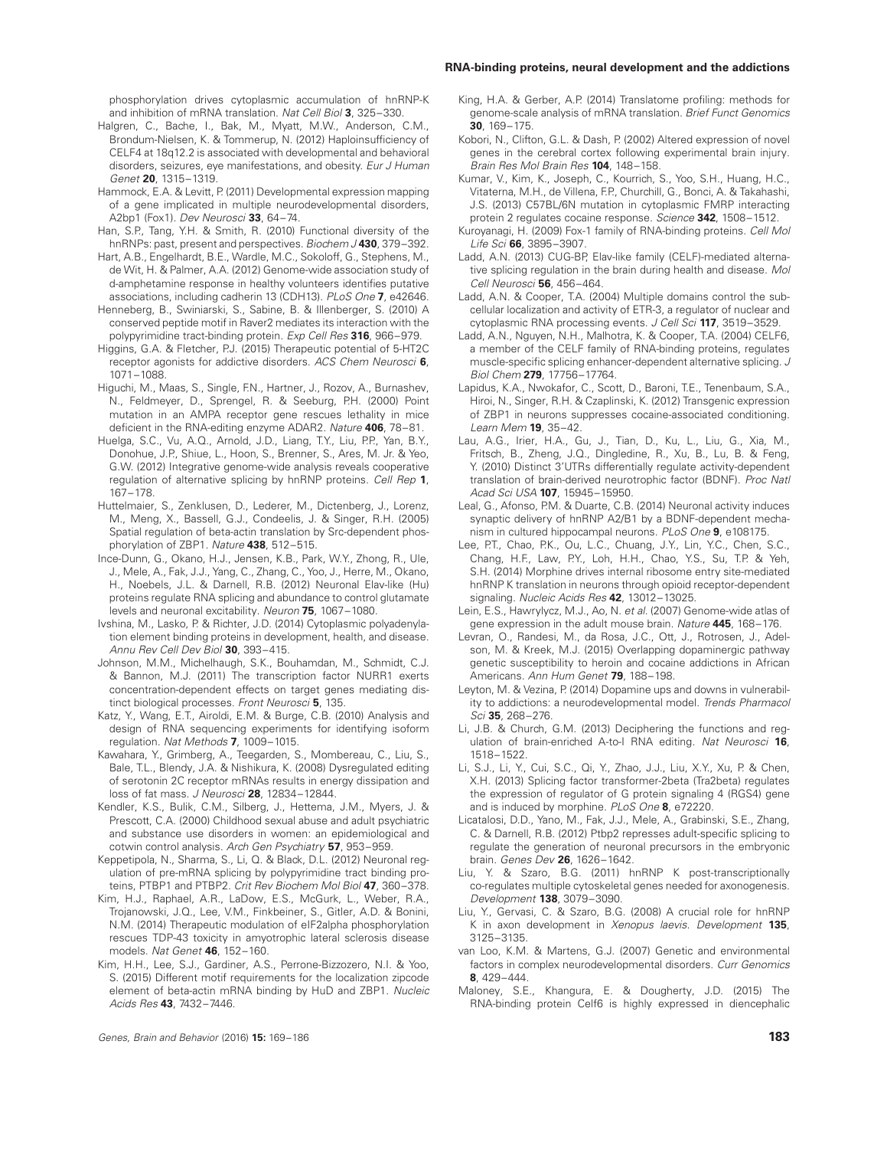#### **RNA-binding proteins, neural development and the addictions**

phosphorylation drives cytoplasmic accumulation of hnRNP-K and inhibition of mRNA translation. Nat Cell Biol **3**, 325–330.

- Halgren, C., Bache, I., Bak, M., Myatt, M.W., Anderson, C.M., Brondum-Nielsen, K. & Tommerup, N. (2012) Haploinsufficiency of CELF4 at 18q12.2 is associated with developmental and behavioral disorders, seizures, eye manifestations, and obesity. Eur J Human Genet **20**, 1315–1319.
- Hammock, E.A. & Levitt, P. (2011) Developmental expression mapping of a gene implicated in multiple neurodevelopmental disorders, A2bp1 (Fox1). Dev Neurosci **33**, 64–74.
- Han, S.P., Tang, Y.H. & Smith, R. (2010) Functional diversity of the hnRNPs: past, present and perspectives. Biochem J **430**, 379–392.
- Hart, A.B., Engelhardt, B.E., Wardle, M.C., Sokoloff, G., Stephens, M., de Wit, H. & Palmer, A.A. (2012) Genome-wide association study of d-amphetamine response in healthy volunteers identifies putative associations, including cadherin 13 (CDH13). PLoS One **7**, e42646.
- Henneberg, B., Swiniarski, S., Sabine, B. & Illenberger, S. (2010) A conserved peptide motif in Raver2 mediates its interaction with the polypyrimidine tract-binding protein. Exp Cell Res **316**, 966–979.
- Higgins, G.A. & Fletcher, P.J. (2015) Therapeutic potential of 5-HT2C receptor agonists for addictive disorders. ACS Chem Neurosci **6**, 1071–1088.
- Higuchi, M., Maas, S., Single, F.N., Hartner, J., Rozov, A., Burnashev, N., Feldmeyer, D., Sprengel, R. & Seeburg, P.H. (2000) Point mutation in an AMPA receptor gene rescues lethality in mice deficient in the RNA-editing enzyme ADAR2. Nature **406**, 78–81.
- Huelga, S.C., Vu, A.Q., Arnold, J.D., Liang, T.Y., Liu, P.P., Yan, B.Y., Donohue, J.P., Shiue, L., Hoon, S., Brenner, S., Ares, M. Jr. & Yeo, G.W. (2012) Integrative genome-wide analysis reveals cooperative regulation of alternative splicing by hnRNP proteins. Cell Rep **1**, 167–178.
- Huttelmaier, S., Zenklusen, D., Lederer, M., Dictenberg, J., Lorenz, M., Meng, X., Bassell, G.J., Condeelis, J. & Singer, R.H. (2005) Spatial regulation of beta-actin translation by Src-dependent phosphorylation of ZBP1. Nature **438**, 512–515.
- Ince-Dunn, G., Okano, H.J., Jensen, K.B., Park, W.Y., Zhong, R., Ule, J., Mele, A., Fak, J.J., Yang, C., Zhang, C., Yoo, J., Herre, M., Okano, H., Noebels, J.L. & Darnell, R.B. (2012) Neuronal Elav-like (Hu) proteins regulate RNA splicing and abundance to control glutamate levels and neuronal excitability. Neuron **75**, 1067–1080.
- Ivshina, M., Lasko, P. & Richter, J.D. (2014) Cytoplasmic polyadenylation element binding proteins in development, health, and disease. Annu Rev Cell Dev Biol **30**, 393–415.
- Johnson, M.M., Michelhaugh, S.K., Bouhamdan, M., Schmidt, C.J. & Bannon, M.J. (2011) The transcription factor NURR1 exerts concentration-dependent effects on target genes mediating distinct biological processes. Front Neurosci **5**, 135.
- Katz, Y., Wang, E.T., Airoldi, E.M. & Burge, C.B. (2010) Analysis and design of RNA sequencing experiments for identifying isoform regulation. Nat Methods **7**, 1009–1015.
- Kawahara, Y., Grimberg, A., Teegarden, S., Mombereau, C., Liu, S., Bale, T.L., Blendy, J.A. & Nishikura, K. (2008) Dysregulated editing of serotonin 2C receptor mRNAs results in energy dissipation and loss of fat mass. J Neurosci **28**, 12834–12844.
- Kendler, K.S., Bulik, C.M., Silberg, J., Hettema, J.M., Myers, J. & Prescott, C.A. (2000) Childhood sexual abuse and adult psychiatric and substance use disorders in women: an epidemiological and cotwin control analysis. Arch Gen Psychiatry **57**, 953–959.
- Keppetipola, N., Sharma, S., Li, Q. & Black, D.L. (2012) Neuronal regulation of pre-mRNA splicing by polypyrimidine tract binding proteins, PTBP1 and PTBP2. Crit Rev Biochem Mol Biol **47**, 360–378.
- Kim, H.J., Raphael, A.R., LaDow, E.S., McGurk, L., Weber, R.A., Trojanowski, J.Q., Lee, V.M., Finkbeiner, S., Gitler, A.D. & Bonini, N.M. (2014) Therapeutic modulation of eIF2alpha phosphorylation rescues TDP-43 toxicity in amyotrophic lateral sclerosis disease models. Nat Genet **46**, 152–160.
- Kim, H.H., Lee, S.J., Gardiner, A.S., Perrone-Bizzozero, N.I. & Yoo, S. (2015) Different motif requirements for the localization zipcode element of beta-actin mRNA binding by HuD and ZBP1. Nucleic Acids Res **43**, 7432–7446.
- King, H.A. & Gerber, A.P. (2014) Translatome profiling: methods for genome-scale analysis of mRNA translation. Brief Funct Genomics **30**, 169–175.
- Kobori, N., Clifton, G.L. & Dash, P. (2002) Altered expression of novel genes in the cerebral cortex following experimental brain injury. Brain Res Mol Brain Res **104**, 148–158.
- Kumar, V., Kim, K., Joseph, C., Kourrich, S., Yoo, S.H., Huang, H.C., Vitaterna, M.H., de Villena, F.P., Churchill, G., Bonci, A. & Takahashi, J.S. (2013) C57BL/6N mutation in cytoplasmic FMRP interacting protein 2 regulates cocaine response. Science **342**, 1508–1512.
- Kuroyanagi, H. (2009) Fox-1 family of RNA-binding proteins. Cell Mol Life Sci **66**, 3895–3907.
- Ladd, A.N. (2013) CUG-BP, Elav-like family (CELF)-mediated alternative splicing regulation in the brain during health and disease. Mol Cell Neurosci **56**, 456–464.
- Ladd, A.N. & Cooper, T.A. (2004) Multiple domains control the subcellular localization and activity of ETR-3, a regulator of nuclear and cytoplasmic RNA processing events. J Cell Sci **117**, 3519–3529.
- Ladd, A.N., Nguyen, N.H., Malhotra, K. & Cooper, T.A. (2004) CELF6, a member of the CELF family of RNA-binding proteins, regulates muscle-specific splicing enhancer-dependent alternative splicing. J Biol Chem **279**, 17756–17764.
- Lapidus, K.A., Nwokafor, C., Scott, D., Baroni, T.E., Tenenbaum, S.A., Hiroi, N., Singer, R.H. & Czaplinski, K. (2012) Transgenic expression of ZBP1 in neurons suppresses cocaine-associated conditioning. Learn Mem **19**, 35–42.
- Lau, A.G., Irier, H.A., Gu, J., Tian, D., Ku, L., Liu, G., Xia, M., Fritsch, B., Zheng, J.Q., Dingledine, R., Xu, B., Lu, B. & Feng, Y. (2010) Distinct 3'UTRs differentially regulate activity-dependent translation of brain-derived neurotrophic factor (BDNF). Proc Natl Acad Sci USA **107**, 15945–15950.
- Leal, G., Afonso, P.M. & Duarte, C.B. (2014) Neuronal activity induces synaptic delivery of hnRNP A2/B1 by a BDNF-dependent mechanism in cultured hippocampal neurons. PLoS One **9**, e108175.
- Lee, P.T., Chao, P.K., Ou, L.C., Chuang, J.Y., Lin, Y.C., Chen, S.C., Chang, H.F., Law, P.Y., Loh, H.H., Chao, Y.S., Su, T.P. & Yeh, S.H. (2014) Morphine drives internal ribosome entry site-mediated hnRNP K translation in neurons through opioid receptor-dependent signaling. Nucleic Acids Res **42**, 13012–13025.
- Lein, E.S., Hawrylycz, M.J., Ao, N. et al. (2007) Genome-wide atlas of gene expression in the adult mouse brain. Nature **445**, 168–176.
- Levran, O., Randesi, M., da Rosa, J.C., Ott, J., Rotrosen, J., Adelson, M. & Kreek, M.J. (2015) Overlapping dopaminergic pathway genetic susceptibility to heroin and cocaine addictions in African Americans. Ann Hum Genet **79**, 188–198.
- Leyton, M. & Vezina, P. (2014) Dopamine ups and downs in vulnerability to addictions: a neurodevelopmental model. Trends Pharmacol Sci **35**, 268–276.
- Li, J.B. & Church, G.M. (2013) Deciphering the functions and regulation of brain-enriched A-to-I RNA editing. Nat Neurosci **16**, 1518–1522.
- Li, S.J., Li, Y., Cui, S.C., Qi, Y., Zhao, J.J., Liu, X.Y., Xu, P. & Chen, X.H. (2013) Splicing factor transformer-2beta (Tra2beta) regulates the expression of regulator of G protein signaling 4 (RGS4) gene and is induced by morphine. PLoS One **8**, e72220.
- Licatalosi, D.D., Yano, M., Fak, J.J., Mele, A., Grabinski, S.E., Zhang, C. & Darnell, R.B. (2012) Ptbp2 represses adult-specific splicing to regulate the generation of neuronal precursors in the embryonic brain. Genes Dev **26**, 1626–1642.
- Liu, Y. & Szaro, B.G. (2011) hnRNP K post-transcriptionally co-regulates multiple cytoskeletal genes needed for axonogenesis. Development **138**, 3079–3090.
- Liu, Y., Gervasi, C. & Szaro, B.G. (2008) A crucial role for hnRNP K in axon development in Xenopus laevis. Development **135**, 3125–3135.
- van Loo, K.M. & Martens, G.J. (2007) Genetic and environmental factors in complex neurodevelopmental disorders. Curr Genomics **8**, 429–444.
- Maloney, S.E., Khangura, E. & Dougherty, J.D. (2015) The RNA-binding protein Celf6 is highly expressed in diencephalic

Genes, Brain and Behavior (2016) **15:** 169–186 **183**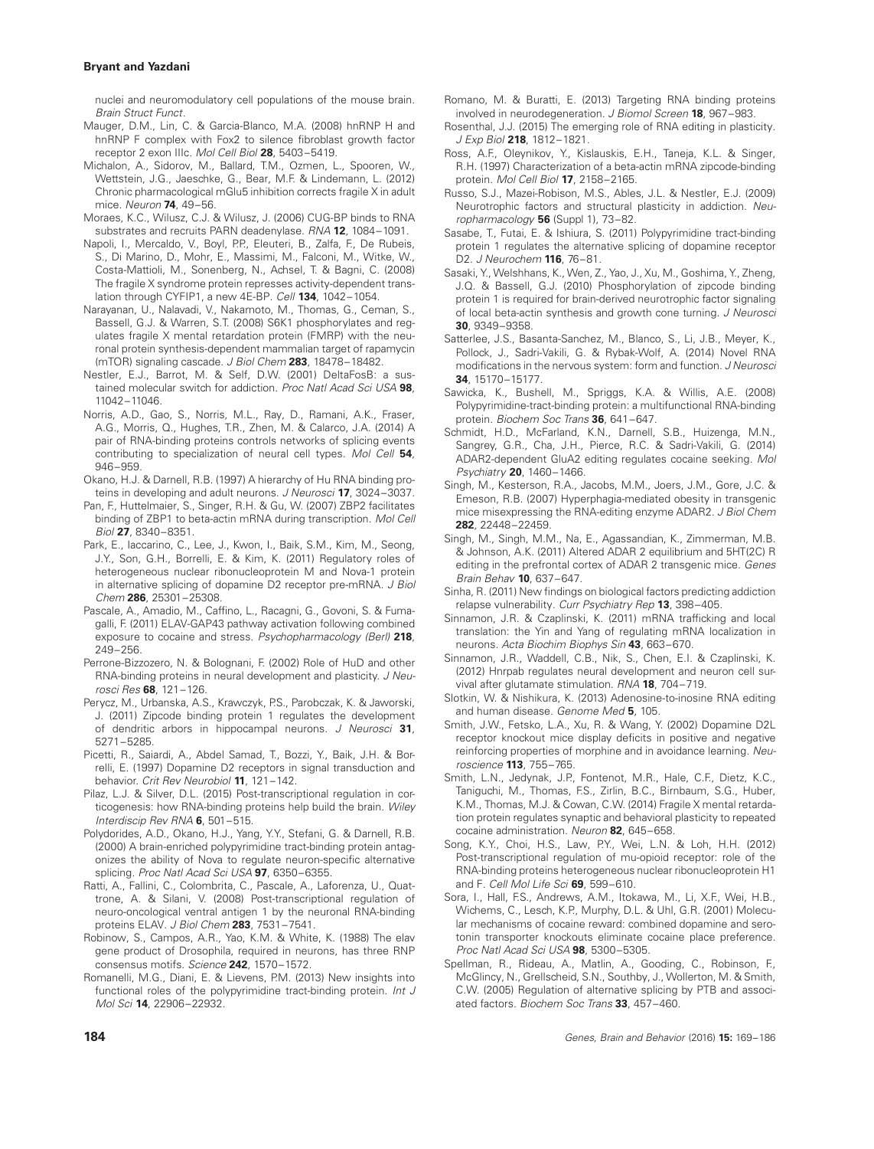nuclei and neuromodulatory cell populations of the mouse brain. Brain Struct Funct.

- Mauger, D.M., Lin, C. & Garcia-Blanco, M.A. (2008) hnRNP H and hnRNP F complex with Fox2 to silence fibroblast growth factor receptor 2 exon IIIc. Mol Cell Biol **28**, 5403–5419.
- Michalon, A., Sidorov, M., Ballard, T.M., Ozmen, L., Spooren, W., Wettstein, J.G., Jaeschke, G., Bear, M.F. & Lindemann, L. (2012) Chronic pharmacological mGlu5 inhibition corrects fragile X in adult mice. Neuron **74**, 49–56.

Moraes, K.C., Wilusz, C.J. & Wilusz, J. (2006) CUG-BP binds to RNA substrates and recruits PARN deadenylase. RNA **12**, 1084–1091.

- Napoli, I., Mercaldo, V., Boyl, P.P., Eleuteri, B., Zalfa, F., De Rubeis, S., Di Marino, D., Mohr, E., Massimi, M., Falconi, M., Witke, W., Costa-Mattioli, M., Sonenberg, N., Achsel, T. & Bagni, C. (2008) The fragile X syndrome protein represses activity-dependent translation through CYFIP1, a new 4E-BP. Cell **134**, 1042–1054.
- Narayanan, U., Nalavadi, V., Nakamoto, M., Thomas, G., Ceman, S., Bassell, G.J. & Warren, S.T. (2008) S6K1 phosphorylates and regulates fragile X mental retardation protein (FMRP) with the neuronal protein synthesis-dependent mammalian target of rapamycin (mTOR) signaling cascade. J Biol Chem **283**, 18478–18482.
- Nestler, E.J., Barrot, M. & Self, D.W. (2001) DeltaFosB: a sustained molecular switch for addiction. Proc Natl Acad Sci USA **98**, 11042–11046.
- Norris, A.D., Gao, S., Norris, M.L., Ray, D., Ramani, A.K., Fraser, A.G., Morris, Q., Hughes, T.R., Zhen, M. & Calarco, J.A. (2014) A pair of RNA-binding proteins controls networks of splicing events contributing to specialization of neural cell types. Mol Cell **54**, 946–959.
- Okano, H.J. & Darnell, R.B. (1997) A hierarchy of Hu RNA binding proteins in developing and adult neurons. J Neurosci **17**, 3024–3037.
- Pan, F., Huttelmaier, S., Singer, R.H. & Gu, W. (2007) ZBP2 facilitates binding of ZBP1 to beta-actin mRNA during transcription. Mol Cell Biol **27**, 8340–8351.
- Park, E., Iaccarino, C., Lee, J., Kwon, I., Baik, S.M., Kim, M., Seong, J.Y., Son, G.H., Borrelli, E. & Kim, K. (2011) Regulatory roles of heterogeneous nuclear ribonucleoprotein M and Nova-1 protein in alternative splicing of dopamine D2 receptor pre-mRNA. J Biol Chem **286**, 25301–25308.
- Pascale, A., Amadio, M., Caffino, L., Racagni, G., Govoni, S. & Fumagalli, F. (2011) ELAV-GAP43 pathway activation following combined exposure to cocaine and stress. Psychopharmacology (Berl) **218**, 249–256.
- Perrone-Bizzozero, N. & Bolognani, F. (2002) Role of HuD and other RNA-binding proteins in neural development and plasticity. J Neurosci Res **68**, 121–126.
- Perycz, M., Urbanska, A.S., Krawczyk, P.S., Parobczak, K. & Jaworski, J. (2011) Zipcode binding protein 1 regulates the development of dendritic arbors in hippocampal neurons. J Neurosci **31**, 5271–5285.
- Picetti, R., Saiardi, A., Abdel Samad, T., Bozzi, Y., Baik, J.H. & Borrelli, E. (1997) Dopamine D2 receptors in signal transduction and behavior. Crit Rev Neurobiol **11**, 121–142.
- Pilaz, L.J. & Silver, D.L. (2015) Post-transcriptional regulation in corticogenesis: how RNA-binding proteins help build the brain. Wiley Interdiscip Rev RNA **6**, 501–515.
- Polydorides, A.D., Okano, H.J., Yang, Y.Y., Stefani, G. & Darnell, R.B. (2000) A brain-enriched polypyrimidine tract-binding protein antagonizes the ability of Nova to regulate neuron-specific alternative splicing. Proc Natl Acad Sci USA **97**, 6350–6355.
- Ratti, A., Fallini, C., Colombrita, C., Pascale, A., Laforenza, U., Quattrone, A. & Silani, V. (2008) Post-transcriptional regulation of neuro-oncological ventral antigen 1 by the neuronal RNA-binding proteins ELAV. J Biol Chem **283**, 7531–7541.
- Robinow, S., Campos, A.R., Yao, K.M. & White, K. (1988) The elav gene product of Drosophila, required in neurons, has three RNP consensus motifs. Science **242**, 1570–1572.
- Romanelli, M.G., Diani, E. & Lievens, P.M. (2013) New insights into functional roles of the polypyrimidine tract-binding protein. Int J Mol Sci **14**, 22906–22932.
- Romano, M. & Buratti, E. (2013) Targeting RNA binding proteins involved in neurodegeneration. J Biomol Screen **18**, 967–983.
- Rosenthal, J.J. (2015) The emerging role of RNA editing in plasticity. J Exp Biol **218**, 1812–1821.
- Ross, A.F., Oleynikov, Y., Kislauskis, E.H., Taneja, K.L. & Singer, R.H. (1997) Characterization of a beta-actin mRNA zipcode-binding protein. Mol Cell Biol **17**, 2158–2165.
- Russo, S.J., Mazei-Robison, M.S., Ables, J.L. & Nestler, E.J. (2009) Neurotrophic factors and structural plasticity in addiction. Neuropharmacology **56** (Suppl 1), 73–82.
- Sasabe, T., Futai, E. & Ishiura, S. (2011) Polypyrimidine tract-binding protein 1 regulates the alternative splicing of dopamine receptor D2. J Neurochem **116**, 76–81.
- Sasaki, Y., Welshhans, K., Wen, Z., Yao, J., Xu, M., Goshima, Y., Zheng, J.Q. & Bassell, G.J. (2010) Phosphorylation of zipcode binding protein 1 is required for brain-derived neurotrophic factor signaling of local beta-actin synthesis and growth cone turning. J Neurosci **30**, 9349–9358.
- Satterlee, J.S., Basanta-Sanchez, M., Blanco, S., Li, J.B., Meyer, K., Pollock, J., Sadri-Vakili, G. & Rybak-Wolf, A. (2014) Novel RNA modifications in the nervous system: form and function. J Neurosci **34**, 15170–15177.
- Sawicka, K., Bushell, M., Spriggs, K.A. & Willis, A.E. (2008) Polypyrimidine-tract-binding protein: a multifunctional RNA-binding protein. Biochem Soc Trans **36**, 641–647.
- Schmidt, H.D., McFarland, K.N., Darnell, S.B., Huizenga, M.N., Sangrey, G.R., Cha, J.H., Pierce, R.C. & Sadri-Vakili, G. (2014) ADAR2-dependent GluA2 editing regulates cocaine seeking. Mol Psychiatry **20**, 1460–1466.
- Singh, M., Kesterson, R.A., Jacobs, M.M., Joers, J.M., Gore, J.C. & Emeson, R.B. (2007) Hyperphagia-mediated obesity in transgenic mice misexpressing the RNA-editing enzyme ADAR2. J Biol Chem **282**, 22448–22459.
- Singh, M., Singh, M.M., Na, E., Agassandian, K., Zimmerman, M.B. & Johnson, A.K. (2011) Altered ADAR 2 equilibrium and 5HT(2C) R editing in the prefrontal cortex of ADAR 2 transgenic mice. Genes Brain Behav **10**, 637–647.
- Sinha, R. (2011) New findings on biological factors predicting addiction relapse vulnerability. Curr Psychiatry Rep **13**, 398–405.
- Sinnamon, J.R. & Czaplinski, K. (2011) mRNA trafficking and local translation: the Yin and Yang of regulating mRNA localization in neurons. Acta Biochim Biophys Sin **43**, 663–670.
- Sinnamon, J.R., Waddell, C.B., Nik, S., Chen, E.I. & Czaplinski, K. (2012) Hnrpab regulates neural development and neuron cell survival after glutamate stimulation. RNA **18**, 704–719.
- Slotkin, W. & Nishikura, K. (2013) Adenosine-to-inosine RNA editing and human disease. Genome Med **5**, 105.
- Smith, J.W., Fetsko, L.A., Xu, R. & Wang, Y. (2002) Dopamine D2L receptor knockout mice display deficits in positive and negative reinforcing properties of morphine and in avoidance learning. Neuroscience **113**, 755–765.
- Smith, L.N., Jedynak, J.P., Fontenot, M.R., Hale, C.F., Dietz, K.C., Taniguchi, M., Thomas, F.S., Zirlin, B.C., Birnbaum, S.G., Huber, K.M., Thomas, M.J. & Cowan, C.W. (2014) Fragile X mental retardation protein regulates synaptic and behavioral plasticity to repeated cocaine administration. Neuron **82**, 645–658.
- Song, K.Y., Choi, H.S., Law, P.Y., Wei, L.N. & Loh, H.H. (2012) Post-transcriptional regulation of mu-opioid receptor: role of the RNA-binding proteins heterogeneous nuclear ribonucleoprotein H1 and F. Cell Mol Life Sci **69**, 599–610.
- Sora, I., Hall, F.S., Andrews, A.M., Itokawa, M., Li, X.F., Wei, H.B., Wichems, C., Lesch, K.P., Murphy, D.L. & Uhl, G.R. (2001) Molecular mechanisms of cocaine reward: combined dopamine and serotonin transporter knockouts eliminate cocaine place preference. Proc Natl Acad Sci USA **98**, 5300–5305.
- Spellman, R., Rideau, A., Matlin, A., Gooding, C., Robinson, F., McGlincy, N., Grellscheid, S.N., Southby, J., Wollerton, M. & Smith, C.W. (2005) Regulation of alternative splicing by PTB and associated factors. Biochem Soc Trans **33**, 457–460.

**184** Genes, Brain and Behavior (2016) **15:** 169–186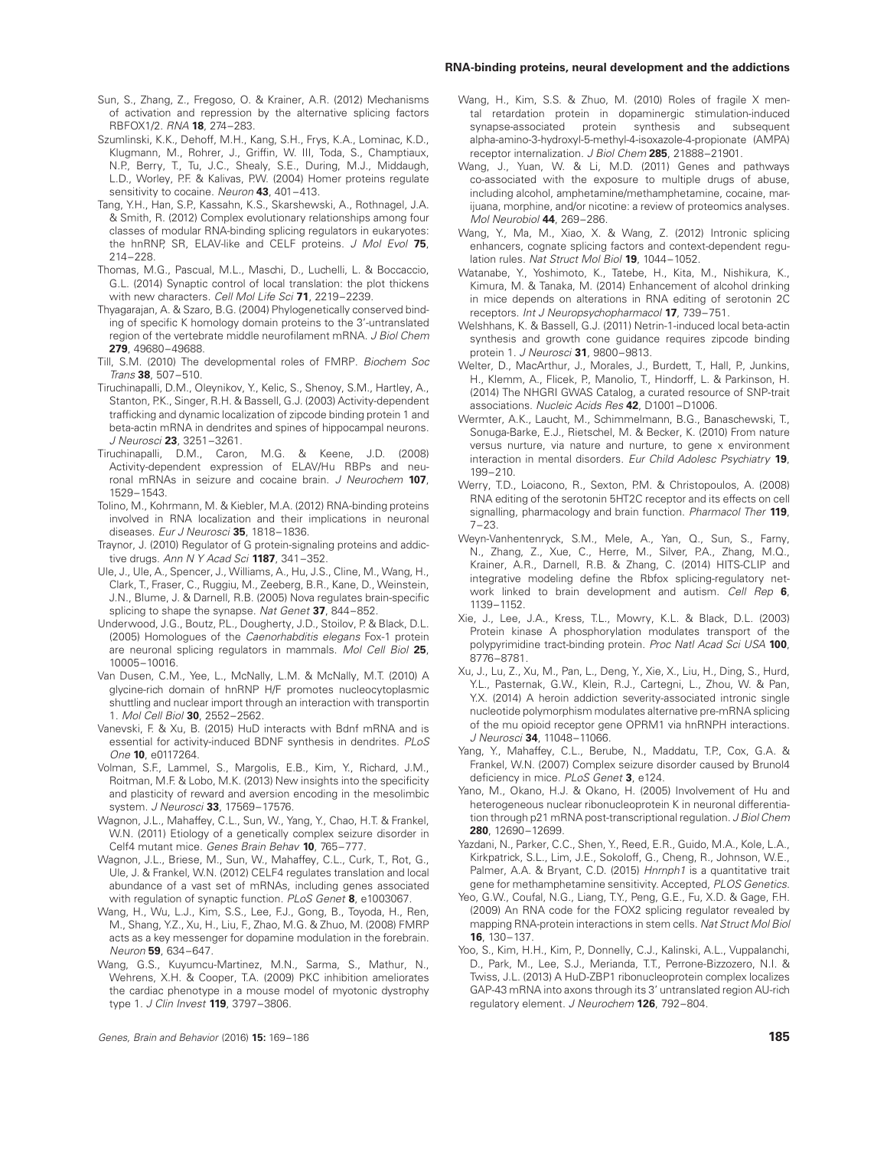#### **RNA-binding proteins, neural development and the addictions**

- Sun, S., Zhang, Z., Fregoso, O. & Krainer, A.R. (2012) Mechanisms of activation and repression by the alternative splicing factors RBFOX1/2. RNA **18**, 274–283.
- Szumlinski, K.K., Dehoff, M.H., Kang, S.H., Frys, K.A., Lominac, K.D., Klugmann, M., Rohrer, J., Griffin, W. III, Toda, S., Champtiaux, N.P., Berry, T., Tu, J.C., Shealy, S.E., During, M.J., Middaugh, L.D., Worley, P.F. & Kalivas, P.W. (2004) Homer proteins regulate sensitivity to cocaine. Neuron **43**, 401–413.
- Tang, Y.H., Han, S.P., Kassahn, K.S., Skarshewski, A., Rothnagel, J.A. & Smith, R. (2012) Complex evolutionary relationships among four classes of modular RNA-binding splicing regulators in eukaryotes: the hnRNP, SR, ELAV-like and CELF proteins. J Mol Evol **75**, 214–228.
- Thomas, M.G., Pascual, M.L., Maschi, D., Luchelli, L. & Boccaccio, G.L. (2014) Synaptic control of local translation: the plot thickens with new characters. Cell Mol Life Sci **71**, 2219–2239.
- Thyagarajan, A. & Szaro, B.G. (2004) Phylogenetically conserved binding of specific K homology domain proteins to the 3'-untranslated region of the vertebrate middle neurofilament mRNA. J Biol Chem **279**, 49680–49688.
- Till, S.M. (2010) The developmental roles of FMRP. Biochem Soc Trans **38**, 507–510.
- Tiruchinapalli, D.M., Oleynikov, Y., Kelic, S., Shenoy, S.M., Hartley, A., Stanton, P.K., Singer, R.H. & Bassell, G.J. (2003) Activity-dependent trafficking and dynamic localization of zipcode binding protein 1 and beta-actin mRNA in dendrites and spines of hippocampal neurons. J Neurosci **23**, 3251–3261.
- Tiruchinapalli, D.M., Caron, M.G. & Keene, J.D. (2008) Activity-dependent expression of ELAV/Hu RBPs and neuronal mRNAs in seizure and cocaine brain. J Neurochem **107**, 1529–1543.
- Tolino, M., Kohrmann, M. & Kiebler, M.A. (2012) RNA-binding proteins involved in RNA localization and their implications in neuronal diseases. Eur J Neurosci **35**, 1818–1836.
- Traynor, J. (2010) Regulator of G protein-signaling proteins and addictive drugs. Ann N Y Acad Sci **1187**, 341–352.
- Ule, J., Ule, A., Spencer, J., Williams, A., Hu, J.S., Cline, M., Wang, H., Clark, T., Fraser, C., Ruggiu, M., Zeeberg, B.R., Kane, D., Weinstein, J.N., Blume, J. & Darnell, R.B. (2005) Nova regulates brain-specific splicing to shape the synapse. Nat Genet **37**, 844–852.
- Underwood, J.G., Boutz, P.L., Dougherty, J.D., Stoilov, P. & Black, D.L. (2005) Homologues of the Caenorhabditis elegans Fox-1 protein are neuronal splicing regulators in mammals. Mol Cell Biol **25**, 10005–10016.
- Van Dusen, C.M., Yee, L., McNally, L.M. & McNally, M.T. (2010) A glycine-rich domain of hnRNP H/F promotes nucleocytoplasmic shuttling and nuclear import through an interaction with transportin 1. Mol Cell Biol **30**, 2552–2562.
- Vanevski, F. & Xu, B. (2015) HuD interacts with Bdnf mRNA and is essential for activity-induced BDNF synthesis in dendrites. PLoS One **10**, e0117264.
- Volman, S.F., Lammel, S., Margolis, E.B., Kim, Y., Richard, J.M., Roitman, M.F. & Lobo, M.K. (2013) New insights into the specificity and plasticity of reward and aversion encoding in the mesolimbic system. J Neurosci **33**, 17569–17576.
- Wagnon, J.L., Mahaffey, C.L., Sun, W., Yang, Y., Chao, H.T. & Frankel, W.N. (2011) Etiology of a genetically complex seizure disorder in Celf4 mutant mice. Genes Brain Behav **10**, 765–777.
- Wagnon, J.L., Briese, M., Sun, W., Mahaffey, C.L., Curk, T., Rot, G., Ule, J. & Frankel, W.N. (2012) CELF4 regulates translation and local abundance of a vast set of mRNAs, including genes associated with regulation of synaptic function. PLoS Genet **8**, e1003067.
- Wang, H., Wu, L.J., Kim, S.S., Lee, F.J., Gong, B., Toyoda, H., Ren, M., Shang, Y.Z., Xu, H., Liu, F., Zhao, M.G. & Zhuo, M. (2008) FMRP acts as a key messenger for dopamine modulation in the forebrain. Neuron **59**, 634–647.
- Wang, G.S., Kuyumcu-Martinez, M.N., Sarma, S., Mathur, N., Wehrens, X.H. & Cooper, T.A. (2009) PKC inhibition ameliorates the cardiac phenotype in a mouse model of myotonic dystrophy type 1. J Clin Invest **119**, 3797–3806.
- Wang, H., Kim, S.S. & Zhuo, M. (2010) Roles of fragile X mental retardation protein in dopaminergic stimulation-induced synapse-associated protein synthesis and subsequent alpha-amino-3-hydroxyl-5-methyl-4-isoxazole-4-propionate (AMPA) receptor internalization. J Biol Chem **285**, 21888–21901.
- Wang, J., Yuan, W. & Li, M.D. (2011) Genes and pathways co-associated with the exposure to multiple drugs of abuse, including alcohol, amphetamine/methamphetamine, cocaine, marijuana, morphine, and/or nicotine: a review of proteomics analyses. Mol Neurobiol **44**, 269–286.
- Wang, Y., Ma, M., Xiao, X. & Wang, Z. (2012) Intronic splicing enhancers, cognate splicing factors and context-dependent regulation rules. Nat Struct Mol Biol **19**, 1044–1052.
- Watanabe, Y., Yoshimoto, K., Tatebe, H., Kita, M., Nishikura, K., Kimura, M. & Tanaka, M. (2014) Enhancement of alcohol drinking in mice depends on alterations in RNA editing of serotonin 2C receptors. Int J Neuropsychopharmacol **17**, 739–751.
- Welshhans, K. & Bassell, G.J. (2011) Netrin-1-induced local beta-actin synthesis and growth cone guidance requires zipcode binding protein 1. J Neurosci **31**, 9800–9813.
- Welter, D., MacArthur, J., Morales, J., Burdett, T., Hall, P., Junkins, H., Klemm, A., Flicek, P., Manolio, T., Hindorff, L. & Parkinson, H. (2014) The NHGRI GWAS Catalog, a curated resource of SNP-trait associations. Nucleic Acids Res **42**, D1001–D1006.
- Wermter, A.K., Laucht, M., Schimmelmann, B.G., Banaschewski, T., Sonuga-Barke, E.J., Rietschel, M. & Becker, K. (2010) From nature versus nurture, via nature and nurture, to gene x environment interaction in mental disorders. Eur Child Adolesc Psychiatry **19**, 199–210.
- Werry, T.D., Loiacono, R., Sexton, P.M. & Christopoulos, A. (2008) RNA editing of the serotonin 5HT2C receptor and its effects on cell signalling, pharmacology and brain function. Pharmacol Ther **119**, 7–23.
- Weyn-Vanhentenryck, S.M., Mele, A., Yan, Q., Sun, S., Farny, N., Zhang, Z., Xue, C., Herre, M., Silver, P.A., Zhang, M.Q., Krainer, A.R., Darnell, R.B. & Zhang, C. (2014) HITS-CLIP and integrative modeling define the Rbfox splicing-regulatory network linked to brain development and autism. Cell Rep **6**, 1139–1152.
- Xie, J., Lee, J.A., Kress, T.L., Mowry, K.L. & Black, D.L. (2003) Protein kinase A phosphorylation modulates transport of the polypyrimidine tract-binding protein. Proc Natl Acad Sci USA **100**, 8776–8781.
- Xu, J., Lu, Z., Xu, M., Pan, L., Deng, Y., Xie, X., Liu, H., Ding, S., Hurd, Y.L., Pasternak, G.W., Klein, R.J., Cartegni, L., Zhou, W. & Pan, Y.X. (2014) A heroin addiction severity-associated intronic single nucleotide polymorphism modulates alternative pre-mRNA splicing of the mu opioid receptor gene OPRM1 via hnRNPH interactions. J Neurosci **34**, 11048–11066.
- Yang, Y., Mahaffey, C.L., Berube, N., Maddatu, T.P., Cox, G.A. & Frankel, W.N. (2007) Complex seizure disorder caused by Brunol4 deficiency in mice. PLoS Genet **3**, e124.
- Yano, M., Okano, H.J. & Okano, H. (2005) Involvement of Hu and heterogeneous nuclear ribonucleoprotein K in neuronal differentiation through p21 mRNA post-transcriptional regulation. J Biol Chem **280**, 12690–12699.
- Yazdani, N., Parker, C.C., Shen, Y., Reed, E.R., Guido, M.A., Kole, L.A., Kirkpatrick, S.L., Lim, J.E., Sokoloff, G., Cheng, R., Johnson, W.E., Palmer, A.A. & Bryant, C.D. (2015) Hnrnph1 is a quantitative trait gene for methamphetamine sensitivity. Accepted, PLOS Genetics.
- Yeo, G.W., Coufal, N.G., Liang, T.Y., Peng, G.E., Fu, X.D. & Gage, F.H. (2009) An RNA code for the FOX2 splicing regulator revealed by mapping RNA-protein interactions in stem cells. Nat Struct Mol Biol **16**, 130–137.
- Yoo, S., Kim, H.H., Kim, P., Donnelly, C.J., Kalinski, A.L., Vuppalanchi, D., Park, M., Lee, S.J., Merianda, T.T., Perrone-Bizzozero, N.I. & Twiss, J.L. (2013) A HuD-ZBP1 ribonucleoprotein complex localizes GAP-43 mRNA into axons through its 3' untranslated region AU-rich regulatory element. J Neurochem **126**, 792–804.

Genes, Brain and Behavior (2016) **15:** 169–186 **185**